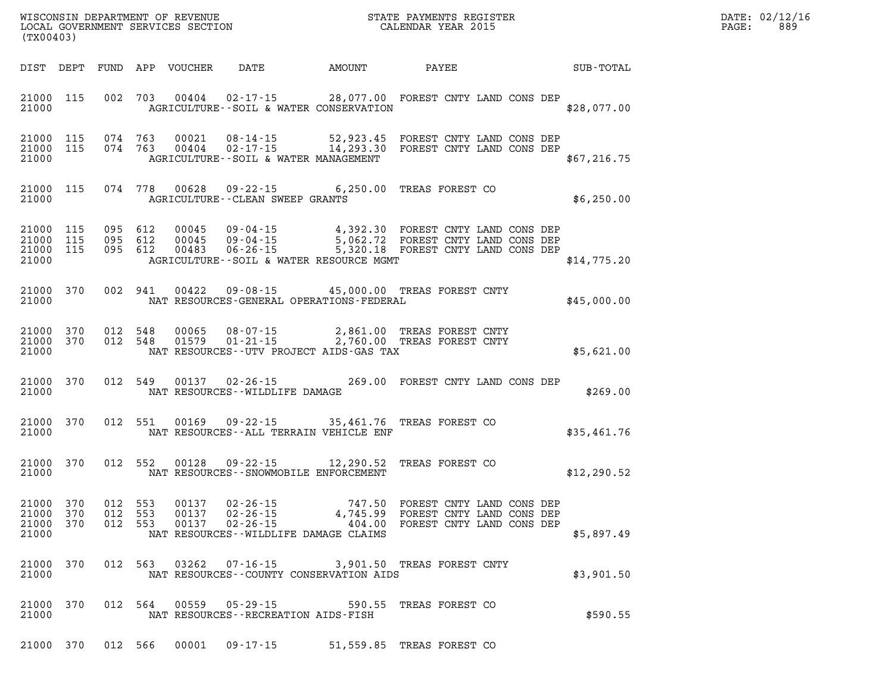| WISCONSIN DEPARTMENT OF REVENUE<br>LOCAL GOVERNMENT SERVICES SECTION FOR THE STATE PAYMENTS REGISTER<br>CALENDAR YEAR 2015<br>(TX00403) |                                |  |  |  |                                   |                                                                                                                                                                                                                                                                                                                                                                                                 |  | $\mathtt{PAGE:}$ | DATE: 02/12/16<br>889 |  |  |
|-----------------------------------------------------------------------------------------------------------------------------------------|--------------------------------|--|--|--|-----------------------------------|-------------------------------------------------------------------------------------------------------------------------------------------------------------------------------------------------------------------------------------------------------------------------------------------------------------------------------------------------------------------------------------------------|--|------------------|-----------------------|--|--|
|                                                                                                                                         |                                |  |  |  |                                   | DIST DEPT FUND APP VOUCHER DATE AMOUNT PAYEE                                                                                                                                                                                                                                                                                                                                                    |  |                  | SUB-TOTAL             |  |  |
| 21000                                                                                                                                   |                                |  |  |  |                                   | 21000 115 002 703 00404 02-17-15 28,077.00 FOREST CNTY LAND CONS DEP<br>AGRICULTURE--SOIL & WATER CONSERVATION                                                                                                                                                                                                                                                                                  |  |                  | \$28,077.00           |  |  |
| 21000                                                                                                                                   |                                |  |  |  |                                   | $\begin{array}{cccccccc} 21000& 115& 074& 763& 00021& 08\cdot 14\cdot 15& 52,923.45 & \text{FOREST CNTY LAND CONS DEP} \\ 21000& 115& 074& 763& 00404& 02\cdot 17\cdot 15& 14,293.30 & \text{FOREST CNTY LAND CONS DEP} \end{array}$<br>AGRICULTURE -- SOIL & WATER MANAGEMENT                                                                                                                  |  |                  | \$67,216.75           |  |  |
| 21000                                                                                                                                   |                                |  |  |  | AGRICULTURE -- CLEAN SWEEP GRANTS | 21000 115 074 778 00628 09-22-15 6,250.00 TREAS FOREST CO                                                                                                                                                                                                                                                                                                                                       |  |                  | \$6,250.00            |  |  |
| 21000                                                                                                                                   |                                |  |  |  |                                   | $\begin{array}{cccccccc} 21000 & 115 & 095 & 612 & 00045 & 09\text{-}04\text{-}15 & & 4\text{,}392.30 & \text{FOREST CNTY LAND CONS DEP} \\ 21000 & 115 & 095 & 612 & 00045 & 09\text{-}04\text{-}15 & & 5\text{,}062.72 & \text{FOREST CNTY LAND CONS DEP} \\ 21000 & 115 & 095 & 612 & 00483 & 06\text{-}26\text{-}15 & & 5\text{,}320.18 & \text$<br>AGRICULTURE--SOIL & WATER RESOURCE MGMT |  |                  | \$14,775.20           |  |  |
| 21000                                                                                                                                   |                                |  |  |  |                                   | 21000 370 002 941 00422 09-08-15 45,000.00 TREAS FOREST CNTY<br>NAT RESOURCES-GENERAL OPERATIONS-FEDERAL                                                                                                                                                                                                                                                                                        |  |                  | \$45,000.00           |  |  |
| 21000                                                                                                                                   | 21000 370 012 548<br>21000 370 |  |  |  |                                   | 012 548 00065 08-07-15 2,861.00 TREAS FOREST CNTY<br>012 548 01579 01-21-15 2,760.00 TREAS FOREST CNTY<br>NAT RESOURCES--UTV PROJECT AIDS-GAS TAX                                                                                                                                                                                                                                               |  |                  | \$5,621.00            |  |  |
| 21000                                                                                                                                   |                                |  |  |  | NAT RESOURCES--WILDLIFE DAMAGE    | 21000 370 012 549 00137 02-26-15 269.00 FOREST CNTY LAND CONS DEP                                                                                                                                                                                                                                                                                                                               |  |                  | \$269.00              |  |  |
| 21000                                                                                                                                   |                                |  |  |  |                                   | 21000 370 012 551 00169 09-22-15 35,461.76 TREAS FOREST CO<br>NAT RESOURCES -- ALL TERRAIN VEHICLE ENF                                                                                                                                                                                                                                                                                          |  |                  | \$35,461.76           |  |  |
| 21000                                                                                                                                   |                                |  |  |  |                                   | 21000 370 012 552 00128 09-22-15 12,290.52 TREAS FOREST CO<br>NAT RESOURCES - - SNOWMOBILE ENFORCEMENT                                                                                                                                                                                                                                                                                          |  |                  | \$12, 290.52          |  |  |
| 21000                                                                                                                                   | 21000 370 012 553              |  |  |  |                                   | NAT RESOURCES--WILDLIFE DAMAGE CLAIMS                                                                                                                                                                                                                                                                                                                                                           |  |                  | \$5,897.49            |  |  |
| 21000 370<br>21000                                                                                                                      |                                |  |  |  |                                   | 012 563 03262 07-16-15 3,901.50 TREAS FOREST CNTY<br>NAT RESOURCES -- COUNTY CONSERVATION AIDS                                                                                                                                                                                                                                                                                                  |  |                  | \$3,901.50            |  |  |
| 21000                                                                                                                                   |                                |  |  |  |                                   | 21000 370 012 564 00559 05-29-15 590.55 TREAS FOREST CO<br>NAT RESOURCES - - RECREATION AIDS - FISH                                                                                                                                                                                                                                                                                             |  |                  | \$590.55              |  |  |
|                                                                                                                                         |                                |  |  |  |                                   | 21000 370 012 566 00001 09-17-15 51,559.85 TREAS FOREST CO                                                                                                                                                                                                                                                                                                                                      |  |                  |                       |  |  |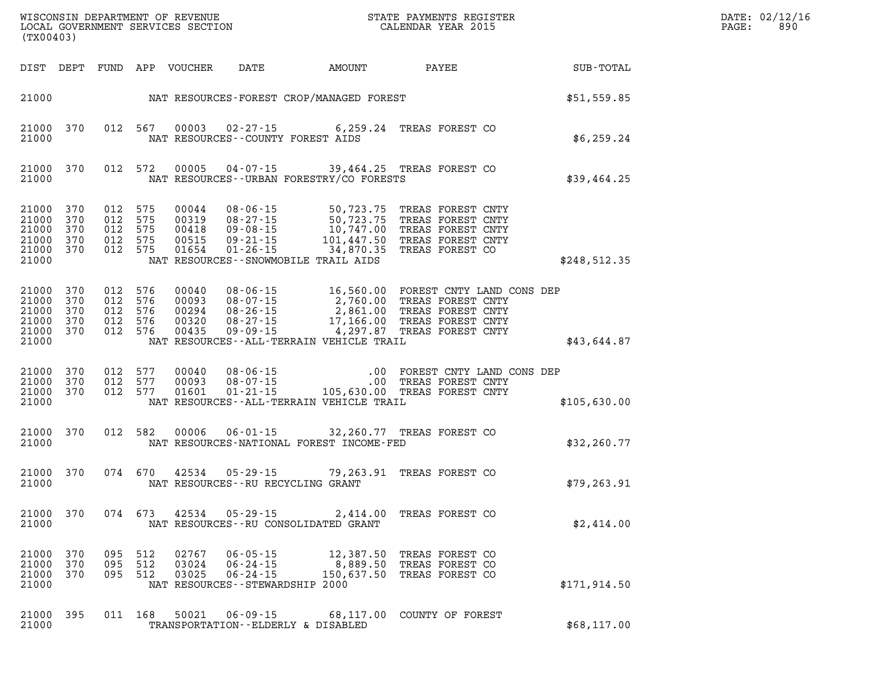|                                      | WISCONSIN DEPARTMENT OF REVENUE<br>LOCAL GOVERNMENT SERVICES SECTION CALENDAR YEAR 2015<br>(TX00403) |                                          |     |                                 |                                                                                          |                                                                                                                                                                                                                                                                                                                                                                                           |                                                       |                                                                | DATE: 02/12/16<br>$\mathtt{PAGE:}$<br>890 |
|--------------------------------------|------------------------------------------------------------------------------------------------------|------------------------------------------|-----|---------------------------------|------------------------------------------------------------------------------------------|-------------------------------------------------------------------------------------------------------------------------------------------------------------------------------------------------------------------------------------------------------------------------------------------------------------------------------------------------------------------------------------------|-------------------------------------------------------|----------------------------------------------------------------|-------------------------------------------|
|                                      |                                                                                                      |                                          |     | DIST DEPT FUND APP VOUCHER DATE |                                                                                          |                                                                                                                                                                                                                                                                                                                                                                                           |                                                       | AMOUNT PAYEE SUB-TOTAL                                         |                                           |
|                                      |                                                                                                      |                                          |     |                                 |                                                                                          |                                                                                                                                                                                                                                                                                                                                                                                           |                                                       | 21000 NAT RESOURCES-FOREST CROP/MANAGED FOREST STAR 451,559.85 |                                           |
| 21000                                |                                                                                                      |                                          |     |                                 | NAT RESOURCES--COUNTY FOREST AIDS                                                        | 21000 370 012 567 00003 02-27-15 6,259.24 TREAS FOREST CO                                                                                                                                                                                                                                                                                                                                 |                                                       | \$6,259.24                                                     |                                           |
| 21000                                |                                                                                                      |                                          |     |                                 |                                                                                          | 21000 370 012 572 00005 04-07-15 39,464.25 TREAS FOREST CO<br>NAT RESOURCES--URBAN FORESTRY/CO FORESTS                                                                                                                                                                                                                                                                                    |                                                       | \$39,464.25                                                    |                                           |
| 21000<br>21000 370<br>21000          | 21000 370 012 575<br>370<br>21000 370<br>21000 370                                                   | 012 575<br>012 575<br>012 575<br>012 575 |     |                                 |                                                                                          | 00044 08-06-15 50,723.75 TREAS FOREST CNTY<br>00319 08-27-15 50,723.75 TREAS FOREST CNTY<br>00418 09-08-15 10,747.00 TREAS FOREST CNTY<br>00515 09-21-15 101,447.50 TREAS FOREST CNTY<br>01654 01-26-15 - 34,870.35 TREAS FOREST CO<br>NAT RESOURCES - SNOWMOBILE TRAIL AIDS                                                                                                              |                                                       | \$248,512.35                                                   |                                           |
| 21000                                |                                                                                                      |                                          |     |                                 |                                                                                          | $\begin{array}{cccccccc} 21000 & 370 & 012 & 576 & 00040 & 08\text{--}06\text{--}15 & 16,560.00 & \text{FOREST CNTY LAND CONS DEP} \\ 21000 & 370 & 012 & 576 & 00093 & 08\text{--}07\text{--}15 & 2,760.00 & \text{TREAS FOREST CNTY} \\ 21000 & 370 & 012 & 576 & 00294 & 08\text{--}26\text{--}15 & 2,861.00 & \text{TREAS FOREST CNTY}$<br>NAT RESOURCES -- ALL-TERRAIN VEHICLE TRAIL |                                                       | \$43,644.87                                                    |                                           |
| 21000 370<br>21000                   | 21000 370<br>21000 370                                                                               | 012 577<br>012 577<br>012 577            |     | 00040<br>00093<br>01601         |                                                                                          | NAT RESOURCES--ALL-TERRAIN VEHICLE TRAIL                                                                                                                                                                                                                                                                                                                                                  |                                                       | \$105,630.00                                                   |                                           |
| 21000                                | 21000 370                                                                                            |                                          |     |                                 |                                                                                          | 012 582 00006 06-01-15 32,260.77 TREAS FOREST CO<br>NAT RESOURCES-NATIONAL FOREST INCOME-FED                                                                                                                                                                                                                                                                                              |                                                       | \$32, 260.77                                                   |                                           |
| 21000                                | 21000 370                                                                                            |                                          |     |                                 | NAT RESOURCES--RU RECYCLING GRANT                                                        | 074 670 42534 05-29-15 79,263.91 TREAS FOREST CO                                                                                                                                                                                                                                                                                                                                          |                                                       | \$79, 263.91                                                   |                                           |
| 21000                                |                                                                                                      |                                          |     |                                 |                                                                                          | 21000 370 074 673 42534 05-29-15 2,414.00 TREAS FOREST CO<br>NAT RESOURCES--RU CONSOLIDATED GRANT                                                                                                                                                                                                                                                                                         |                                                       | \$2,414.00                                                     |                                           |
| 21000 370<br>21000<br>21000<br>21000 | 370<br>370                                                                                           | 095 512<br>095<br>095 512                | 512 | 02767<br>03024<br>03025         | $06 - 05 - 15$<br>$06 - 24 - 15$<br>$06 - 24 - 15$<br>NAT RESOURCES - - STEWARDSHIP 2000 | 12,387.50<br>8,889.50<br>150,637.50                                                                                                                                                                                                                                                                                                                                                       | TREAS FOREST CO<br>TREAS FOREST CO<br>TREAS FOREST CO | \$171,914.50                                                   |                                           |
| 21000 395<br>21000                   |                                                                                                      | 011 168                                  |     | 50021                           | $06 - 09 - 15$                                                                           | TRANSPORTATION--ELDERLY & DISABLED                                                                                                                                                                                                                                                                                                                                                        | 68,117.00 COUNTY OF FOREST                            | \$68,117.00                                                    |                                           |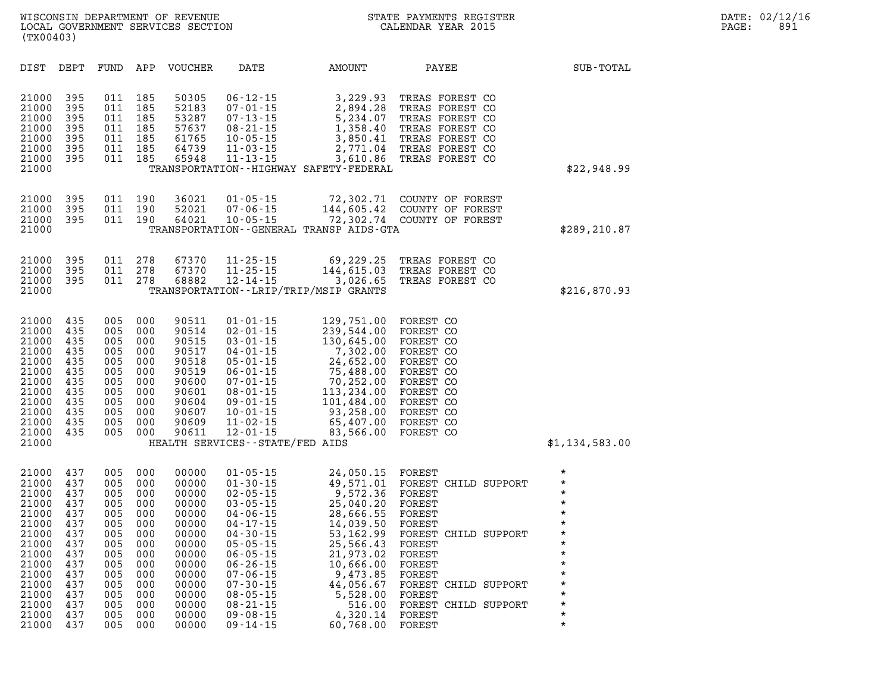| DIST                                                                                                                                | DEPT                                                                                                  | FUND                                                                                                  | APP                                                                                                   | <b>VOUCHER</b>                                                                                                                      | DATE                                                                                                                                                                                                                                                                 | AMOUNT                                                                                                                                                                                    | PAYEE                                                                                                                                                                                                      | SUB-TOTAL                                                                                                                           |
|-------------------------------------------------------------------------------------------------------------------------------------|-------------------------------------------------------------------------------------------------------|-------------------------------------------------------------------------------------------------------|-------------------------------------------------------------------------------------------------------|-------------------------------------------------------------------------------------------------------------------------------------|----------------------------------------------------------------------------------------------------------------------------------------------------------------------------------------------------------------------------------------------------------------------|-------------------------------------------------------------------------------------------------------------------------------------------------------------------------------------------|------------------------------------------------------------------------------------------------------------------------------------------------------------------------------------------------------------|-------------------------------------------------------------------------------------------------------------------------------------|
| 21000<br>21000<br>21000<br>21000<br>21000<br>21000<br>21000<br>21000                                                                | 395<br>395<br>395<br>395<br>395<br>395<br>395                                                         | 011<br>011<br>011<br>011<br>011<br>011<br>011                                                         | 185<br>185<br>185<br>185<br>185<br>185<br>185                                                         | 50305<br>52183<br>53287<br>57637<br>61765<br>64739<br>65948                                                                         | $06 - 12 - 15$<br>$07 - 01 - 15$<br>$07 - 13 - 15$<br>$08 - 21 - 15$<br>$10 - 05 - 15$<br>$11 - 03 - 15$<br>$11 - 13 - 15$                                                                                                                                           | 3,229.93<br>2,894.28<br>5,234.07<br>1,358.40<br>3,850.41<br>2,771.04<br>3,610.86<br>TRANSPORTATION - - HIGHWAY SAFETY - FEDERAL                                                           | TREAS FOREST CO<br>TREAS FOREST CO<br>TREAS FOREST CO<br>TREAS FOREST CO<br>TREAS FOREST CO<br>TREAS FOREST CO<br>TREAS FOREST CO                                                                          | \$22,948.99                                                                                                                         |
| 21000<br>21000<br>21000<br>21000                                                                                                    | 395<br>395<br>395                                                                                     | 011<br>011<br>011                                                                                     | 190<br>190<br>190                                                                                     | 36021<br>52021<br>64021                                                                                                             | $01 - 05 - 15$<br>$07 - 06 - 15$<br>$10 - 05 - 15$                                                                                                                                                                                                                   | 72,302.71<br>144,605.42<br>72,302.74<br>TRANSPORTATION--GENERAL TRANSP AIDS-GTA                                                                                                           | COUNTY OF FOREST<br>COUNTY OF FOREST<br>COUNTY OF FOREST                                                                                                                                                   | \$289, 210.87                                                                                                                       |
| 21000<br>21000<br>21000<br>21000                                                                                                    | 395<br>395<br>395                                                                                     | 011<br>011<br>011                                                                                     | 278<br>278<br>278                                                                                     | 67370<br>67370<br>68882                                                                                                             | $11 - 25 - 15$<br>$11 - 25 - 15$<br>$12 - 14 - 15$                                                                                                                                                                                                                   | 69,229.25<br>144,615.03<br>3,026.65<br>TRANSPORTATION--LRIP/TRIP/MSIP GRANTS                                                                                                              | TREAS FOREST CO<br>TREAS FOREST CO<br>TREAS FOREST CO                                                                                                                                                      | \$216,870.93                                                                                                                        |
| 21000<br>21000<br>21000<br>21000<br>21000<br>21000<br>21000<br>21000<br>21000<br>21000<br>21000<br>21000<br>21000                   | 435<br>435<br>435<br>435<br>435<br>435<br>435<br>435<br>435<br>435<br>435<br>435                      | 005<br>005<br>005<br>005<br>005<br>005<br>005<br>005<br>005<br>005<br>005<br>005                      | 000<br>000<br>000<br>000<br>000<br>000<br>000<br>000<br>000<br>000<br>000<br>000                      | 90511<br>90514<br>90515<br>90517<br>90518<br>90519<br>90600<br>90601<br>90604<br>90607<br>90609<br>90611                            | $01 - 01 - 15$<br>$02 - 01 - 15$<br>$03 - 01 - 15$<br>$04 - 01 - 15$<br>$05 - 01 - 15$<br>$06 - 01 - 15$<br>$07 - 01 - 15$<br>$08 - 01 - 15$<br>$09 - 01 - 15$<br>$10 - 01 - 15$<br>$11 - 02 - 15$<br>$12 - 01 - 15$<br>HEALTH SERVICES--STATE/FED AIDS              | 129,751.00<br>239,544.00<br>130,645.00<br>7,302.00<br>24,652.00<br>75,488.00<br>70,252.00<br>113,234.00<br>101,484.00<br>93,258.00<br>65,407.00<br>83,566.00                              | FOREST CO<br>FOREST CO<br>FOREST CO<br>FOREST CO<br>FOREST CO<br>FOREST CO<br>FOREST CO<br>FOREST CO<br>FOREST CO<br>FOREST CO<br>FOREST CO<br>FOREST CO                                                   | \$1,134,583.00                                                                                                                      |
| 21000<br>21000<br>21000<br>21000<br>21000<br>21000<br>21000<br>21000<br>21000<br>21000<br>21000<br>21000<br>21000<br>21000<br>21000 | 437<br>437<br>437<br>437<br>437<br>437<br>437<br>437<br>437<br>437<br>437<br>437<br>437<br>437<br>437 | 005<br>005<br>005<br>005<br>005<br>005<br>005<br>005<br>005<br>005<br>005<br>005<br>005<br>005<br>005 | 000<br>000<br>000<br>000<br>000<br>000<br>000<br>000<br>000<br>000<br>000<br>000<br>000<br>000<br>000 | 00000<br>00000<br>00000<br>00000<br>00000<br>00000<br>00000<br>00000<br>00000<br>00000<br>00000<br>00000<br>00000<br>00000<br>00000 | $01 - 05 - 15$<br>$01 - 30 - 15$<br>$02 - 05 - 15$<br>$03 - 05 - 15$<br>$04 - 06 - 15$<br>$04 - 17 - 15$<br>$04 - 30 - 15$<br>$05 - 05 - 15$<br>$06 - 05 - 15$<br>$06 - 26 - 15$<br>$07 - 06 - 15$<br>$07 - 30 - 15$<br>$08 - 05 - 15$<br>$08 - 21 - 15$<br>09-08-15 | 24,050.15<br>49,571.01<br>9,572.36<br>25,040.20<br>28,666.55<br>14,039.50<br>53, 162.99<br>25,566.43<br>21,973.02<br>10,666.00<br>9,473.85<br>44,056.67<br>5,528.00<br>516.00<br>4,320.14 | FOREST<br>FOREST CHILD SUPPORT<br>FOREST<br>FOREST<br>FOREST<br>FOREST<br>FOREST CHILD SUPPORT<br>FOREST<br>FOREST<br>FOREST<br>FOREST<br>FOREST CHILD SUPPORT<br>FOREST<br>FOREST CHILD SUPPORT<br>FOREST | $\star$<br>$\star$<br>*<br>$\star$<br>*<br>$\star$<br>$\star$<br>$\star$<br>$\star$<br>$\star$<br>$\star$<br>*<br>$\star$<br>*<br>* |

**21000 437 005 000 00000 09-14-15 60,768.00 FOREST \***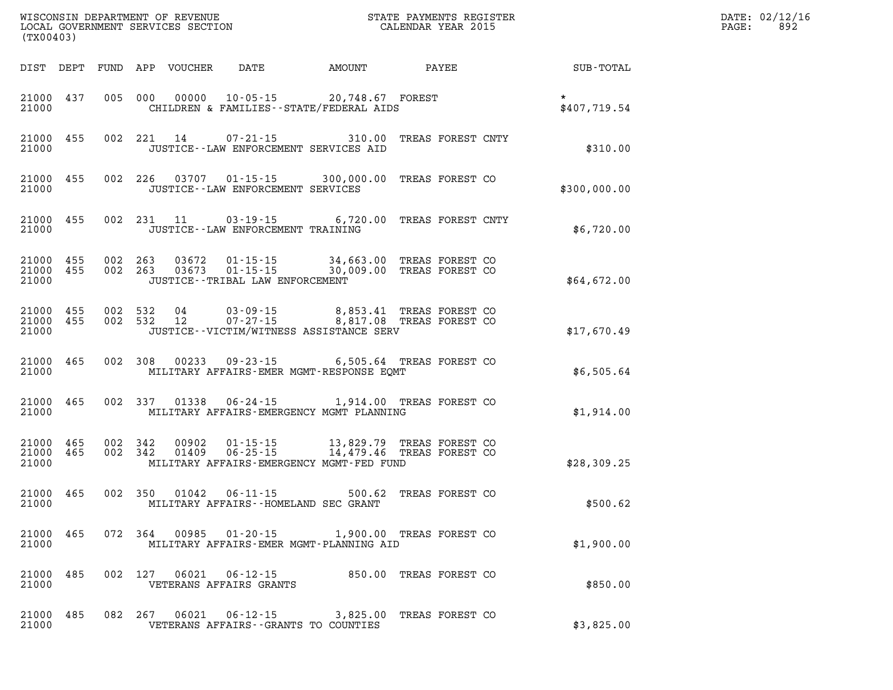| (TX00403)                   |            |         |                | WISCONSIN DEPARTMENT OF REVENUE<br>LOCAL GOVERNMENT SERVICES SECTION |                                                  | STATE PAYMENTS REGISTER<br>CALENDAR YEAR 2015                                                                          |                                    |                           | DATE: 02/12/16<br>PAGE:<br>892 |
|-----------------------------|------------|---------|----------------|----------------------------------------------------------------------|--------------------------------------------------|------------------------------------------------------------------------------------------------------------------------|------------------------------------|---------------------------|--------------------------------|
| DIST DEPT                   |            |         |                | FUND APP VOUCHER                                                     | DATE                                             | <b>AMOUNT</b>                                                                                                          | PAYEE                              | <b>SUB-TOTAL</b>          |                                |
| 21000 437<br>21000          |            |         | 005 000        |                                                                      |                                                  | 00000  10-05-15  20,748.67  FOREST<br>CHILDREN & FAMILIES--STATE/FEDERAL AIDS                                          |                                    | $\star$ .<br>\$407,719.54 |                                |
| 21000<br>21000              | 455        |         |                | 002 221 14                                                           | JUSTICE--LAW ENFORCEMENT SERVICES AID            | $07 - 21 - 15$ 310.00                                                                                                  | TREAS FOREST CNTY                  | \$310.00                  |                                |
| 21000<br>21000              | 455        |         | 002 226        |                                                                      | JUSTICE - - LAW ENFORCEMENT SERVICES             | 03707  01-15-15  300,000.00  TREAS FOREST CO                                                                           |                                    | \$300,000.00              |                                |
| 21000<br>21000              | 455        |         |                |                                                                      | JUSTICE - - LAW ENFORCEMENT TRAINING             | 002 231 11 03-19-15 6,720.00 TREAS FOREST CNTY                                                                         |                                    | \$6,720.00                |                                |
| 21000<br>21000 455<br>21000 | 455        | 002 263 | 002 263        | 03672                                                                | JUSTICE - - TRIBAL LAW ENFORCEMENT               | $01 - 15 - 15$ 34,663.00<br>$0.3673$ $0.1 - 15 - 15$ 30,009.00                                                         | TREAS FOREST CO<br>TREAS FOREST CO | \$64,672.00               |                                |
| 21000<br>21000 455<br>21000 | 455        | 002     | 532<br>002 532 | $\begin{array}{c} 04 \\ 12 \end{array}$<br>12                        |                                                  | 03-09-15  8,853.41 TREAS FOREST CO<br>07-27-15  8,817.08 TREAS FOREST CO<br>JUSTICE - - VICTIM/WITNESS ASSISTANCE SERV |                                    | \$17,670.49               |                                |
| 21000<br>21000              | 465        |         | 002 308        | 00233                                                                |                                                  | 09-23-15 6,505.64 TREAS FOREST CO<br>MILITARY AFFAIRS-EMER MGMT-RESPONSE EQMT                                          |                                    | \$6,505.64                |                                |
| 21000<br>21000              | 465        |         | 002 337        | 01338                                                                |                                                  | 06-24-15 1,914.00 TREAS FOREST CO<br>MILITARY AFFAIRS-EMERGENCY MGMT PLANNING                                          |                                    | \$1,914.00                |                                |
| 21000<br>21000<br>21000     | 465<br>465 | 002 342 | 002 342        | 00902<br>01409                                                       | $01 - 15 - 15$<br>$06 - 25 - 15$                 | 13,829.79 TREAS FOREST CO<br>14,479.46 TREAS FOREST CO<br>MILITARY AFFAIRS-EMERGENCY MGMT-FED FUND                     |                                    | \$28,309.25               |                                |
| 21000<br>21000              | 465        |         | 002 350        | 01042                                                                | 06-11-15<br>MILITARY AFFAIRS--HOMELAND SEC GRANT | 500.62                                                                                                                 | TREAS FOREST CO                    | \$500.62                  |                                |
| 21000 465<br>21000          |            |         |                |                                                                      |                                                  | 072 364 00985 01-20-15 1,900.00 TREAS FOREST CO<br>MILITARY AFFAIRS-EMER MGMT-PLANNING AID                             |                                    | \$1,900.00                |                                |
| 21000<br>21000              | 485        |         | 002 127        |                                                                      | 06021 06-12-15<br>VETERANS AFFAIRS GRANTS        |                                                                                                                        | 850.00 TREAS FOREST CO             | \$850.00                  |                                |
| 21000 485<br>21000          |            |         | 082 267        |                                                                      | VETERANS AFFAIRS -- GRANTS TO COUNTIES           | 06021  06-12-15  3,825.00 TREAS FOREST CO                                                                              |                                    | \$3,825.00                |                                |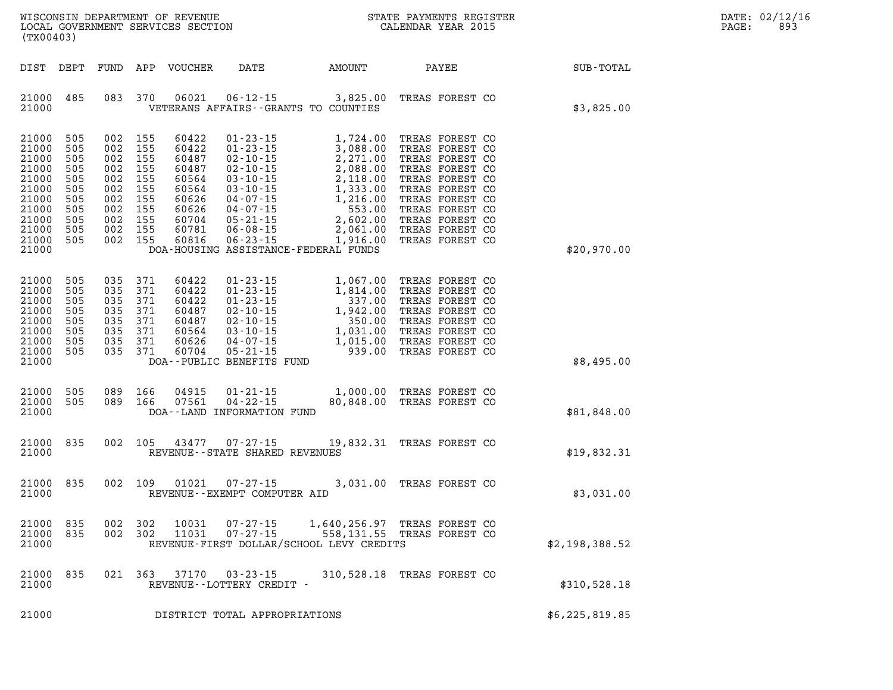| WISCONSIN DEPARTMENT OF REVENUE   | PAYMENTS REGISTER<br>3TATE | DATE: | 02/12/16 |
|-----------------------------------|----------------------------|-------|----------|
| LOCAL GOVERNMENT SERVICES SECTION | CALENDAR YEAR 2015         | PAGE  | 893      |

| (TX00403)                                                                                                |                                                                           |                          |                                                                                                                       | LOCAL GOVERNMENT SERVICES SECTION                                                               |                                                                                                                                                                                                                                                                                                                    |                                                                                                                                                                                                                                                                                        | CALENDAR YEAR 2015                                                                                                                                                                                            |                             | PAGE: | 893 |
|----------------------------------------------------------------------------------------------------------|---------------------------------------------------------------------------|--------------------------|-----------------------------------------------------------------------------------------------------------------------|-------------------------------------------------------------------------------------------------|--------------------------------------------------------------------------------------------------------------------------------------------------------------------------------------------------------------------------------------------------------------------------------------------------------------------|----------------------------------------------------------------------------------------------------------------------------------------------------------------------------------------------------------------------------------------------------------------------------------------|---------------------------------------------------------------------------------------------------------------------------------------------------------------------------------------------------------------|-----------------------------|-------|-----|
| DIST DEPT                                                                                                |                                                                           |                          |                                                                                                                       | FUND APP VOUCHER                                                                                |                                                                                                                                                                                                                                                                                                                    |                                                                                                                                                                                                                                                                                        |                                                                                                                                                                                                               | DATE AMOUNT PAYEE SUB-TOTAL |       |     |
| 21000<br>21000                                                                                           | 485                                                                       | 083                      | 370                                                                                                                   | 06021                                                                                           | $06 - 12 - 15$<br>VETERANS AFFAIRS -- GRANTS TO COUNTIES                                                                                                                                                                                                                                                           | 3,825.00                                                                                                                                                                                                                                                                               | TREAS FOREST CO                                                                                                                                                                                               | \$3,825.00                  |       |     |
| 21000<br>21000<br>21000<br>21000<br>21000<br>21000<br>21000<br>21000<br>21000<br>21000<br>21000<br>21000 | 505<br>505<br>505<br>505<br>505<br>505<br>505<br>505<br>505<br>505<br>505 |                          | 002 155<br>002 155<br>002 155<br>002 155<br>002 155<br>002 155<br>002 155<br>002 155<br>002 155<br>002 155<br>002 155 | 60422<br>60422<br>60487<br>60487<br>60564<br>60564<br>60626<br>60626<br>60704<br>60781<br>60816 | 01-23-15<br>01-23-15<br>01-23-15<br>02-10-15<br>02-10-15<br>02-10-15<br>2,088.00<br>03-10-15<br>2,088.00<br>03-10-15<br>2,118.00<br>03-10-15<br>1,333.00<br>04-07-15<br>1,216.00<br>05-21-15<br>2,602.00<br>06-08-15<br>2,602.00<br>06-08-15<br>2,602.00<br>06-08-15<br>2,<br>DOA-HOUSING ASSISTANCE-FEDERAL FUNDS |                                                                                                                                                                                                                                                                                        | TREAS FOREST CO<br>TREAS FOREST CO<br>TREAS FOREST CO<br>TREAS FOREST CO<br>TREAS FOREST CO<br>TREAS FOREST CO<br>TREAS FOREST CO<br>TREAS FOREST CO<br>TREAS FOREST CO<br>TREAS FOREST CO<br>TREAS FOREST CO | \$20,970.00                 |       |     |
| 21000<br>21000<br>21000<br>21000<br>21000<br>21000<br>21000<br>21000<br>21000                            | 505<br>505<br>505<br>505<br>505<br>505<br>505<br>505                      | 035<br>035<br>035<br>035 | 371<br>035 371<br>371<br>035 371<br>371<br>035 371<br>371<br>035 371                                                  | 60422<br>60422<br>60422<br>60487<br>60487<br>60564<br>60626<br>60704                            | $01 - 23 - 15$<br>DOA--PUBLIC BENEFITS FUND                                                                                                                                                                                                                                                                        | 1,067.00<br>01-23-15<br>01-23-15<br>01-23-15<br>01-23-15<br>02-10-15<br>02-10-15<br>03-10-15<br>03-00<br>04-07-15<br>05-21-15<br>05-21-15<br>05-21-05<br>05-21-05<br>05-21-05<br>05-21-05<br>05-21-05<br>05-21-05<br>05-21-05<br>05-21-05<br>05-21-05<br>05-21-05<br>05-23-00<br>05-21 | TREAS FOREST CO<br>TREAS FOREST CO<br>TREAS FOREST CO<br>TREAS FOREST CO<br>TREAS FOREST CO<br>TREAS FOREST CO<br>TREAS FOREST CO<br>TREAS FOREST CO                                                          | \$8,495.00                  |       |     |
| 21000<br>21000<br>21000                                                                                  | 505<br>505                                                                |                          | 089 166<br>089 166                                                                                                    | 04915<br>07561                                                                                  | $04 - 22 - 15$<br>DOA--LAND INFORMATION FUND                                                                                                                                                                                                                                                                       | 01-21-15 1,000.00 TREAS FOREST CO<br>80,848.00                                                                                                                                                                                                                                         | TREAS FOREST CO                                                                                                                                                                                               | \$81,848.00                 |       |     |
| 21000<br>21000                                                                                           | 835                                                                       |                          | 002 105                                                                                                               |                                                                                                 | REVENUE--STATE SHARED REVENUES                                                                                                                                                                                                                                                                                     | 43477 07-27-15 19,832.31 TREAS FOREST CO                                                                                                                                                                                                                                               |                                                                                                                                                                                                               | \$19,832.31                 |       |     |
| 21000<br>21000                                                                                           | 835                                                                       |                          | 002 109                                                                                                               |                                                                                                 | 01021  07-27-15<br>REVENUE--EXEMPT COMPUTER AID                                                                                                                                                                                                                                                                    |                                                                                                                                                                                                                                                                                        | 3,031.00 TREAS FOREST CO                                                                                                                                                                                      | \$3,031.00                  |       |     |
| 21000 835<br>21000 835<br>21000                                                                          |                                                                           |                          | 002 302<br>002 302                                                                                                    | 10031<br>11031                                                                                  | $07 - 27 - 15$<br>$07 - 27 - 15$                                                                                                                                                                                                                                                                                   | 1,640,256.97 TREAS FOREST CO<br>558,131.55 TREAS FOREST CO<br>REVENUE-FIRST DOLLAR/SCHOOL LEVY CREDITS                                                                                                                                                                                 |                                                                                                                                                                                                               | \$2,198,388.52              |       |     |
| 21000<br>21000                                                                                           | 835                                                                       | 021                      | 363                                                                                                                   | 37170                                                                                           | $03 - 23 - 15$<br>REVENUE--LOTTERY CREDIT -                                                                                                                                                                                                                                                                        | 310,528.18 TREAS FOREST CO                                                                                                                                                                                                                                                             |                                                                                                                                                                                                               | \$310,528.18                |       |     |
| 21000                                                                                                    |                                                                           |                          |                                                                                                                       |                                                                                                 | DISTRICT TOTAL APPROPRIATIONS                                                                                                                                                                                                                                                                                      |                                                                                                                                                                                                                                                                                        |                                                                                                                                                                                                               | \$6,225,819.85              |       |     |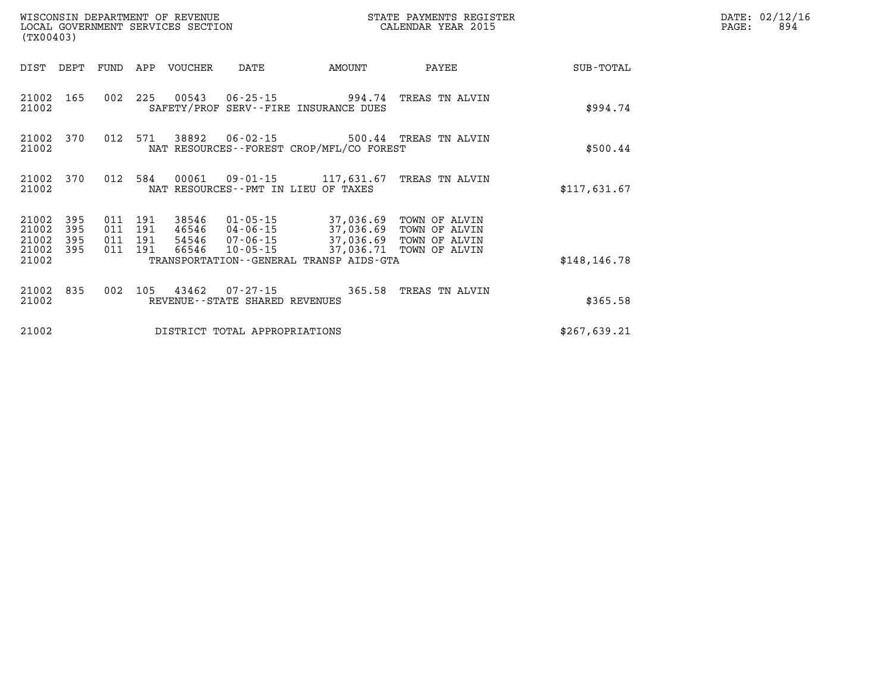|                                           | WISCONSIN DEPARTMENT OF REVENUE<br>LOCAL GOVERNMENT SERVICES SECTION<br>(TX00403) |      |                                      |                                  |                                                  |                                                                                                                    | STATE PAYMENTS REGISTER<br>CALENDAR YEAR 2015   |               | DATE: 02/12/16<br>PAGE:<br>894 |
|-------------------------------------------|-----------------------------------------------------------------------------------|------|--------------------------------------|----------------------------------|--------------------------------------------------|--------------------------------------------------------------------------------------------------------------------|-------------------------------------------------|---------------|--------------------------------|
| DIST                                      | DEPT                                                                              | FUND | APP                                  | VOUCHER                          | DATE                                             | AMOUNT                                                                                                             | PAYEE                                           | SUB-TOTAL     |                                |
| 21002 165<br>21002                        |                                                                                   |      | 002 225                              |                                  |                                                  | SAFETY/PROF SERV--FIRE INSURANCE DUES                                                                              | TREAS TN ALVIN                                  | \$994.74      |                                |
| 21002                                     | 21002 370                                                                         | 012  | 571                                  | 38892                            |                                                  | 06-02-15 500.44 TREAS TN ALVIN<br>NAT RESOURCES--FOREST CROP/MFL/CO FOREST                                         |                                                 | \$500.44      |                                |
| 21002<br>21002                            | 370                                                                               |      | 012 584                              | 00061                            |                                                  | 09-01-15 117,631.67<br>NAT RESOURCES - PMT IN LIEU OF TAXES                                                        | TREAS TN ALVIN                                  | \$117,631.67  |                                |
| 21002<br>21002<br>21002<br>21002<br>21002 | 395<br>395<br>395<br>- 395                                                        | 011  | 191<br>011 191<br>011 191<br>011 191 | 38546<br>46546<br>54546<br>66546 | $01 - 05 - 15$<br>04-06-15<br>10-05-15           | 37,036.69<br>37,036.69<br>07-06-15 37,036.69<br>37,036.71 TOWN OF ALVIN<br>TRANSPORTATION--GENERAL TRANSP AIDS-GTA | TOWN OF ALVIN<br>TOWN OF ALVIN<br>TOWN OF ALVIN | \$148, 146.78 |                                |
| 21002<br>21002                            | 835                                                                               | 002  | 105                                  | 43462                            | $07 - 27 - 15$<br>REVENUE--STATE SHARED REVENUES | 365.58                                                                                                             | TREAS TN ALVIN                                  | \$365.58      |                                |
| 21002                                     |                                                                                   |      |                                      |                                  | DISTRICT TOTAL APPROPRIATIONS                    |                                                                                                                    |                                                 | \$267,639.21  |                                |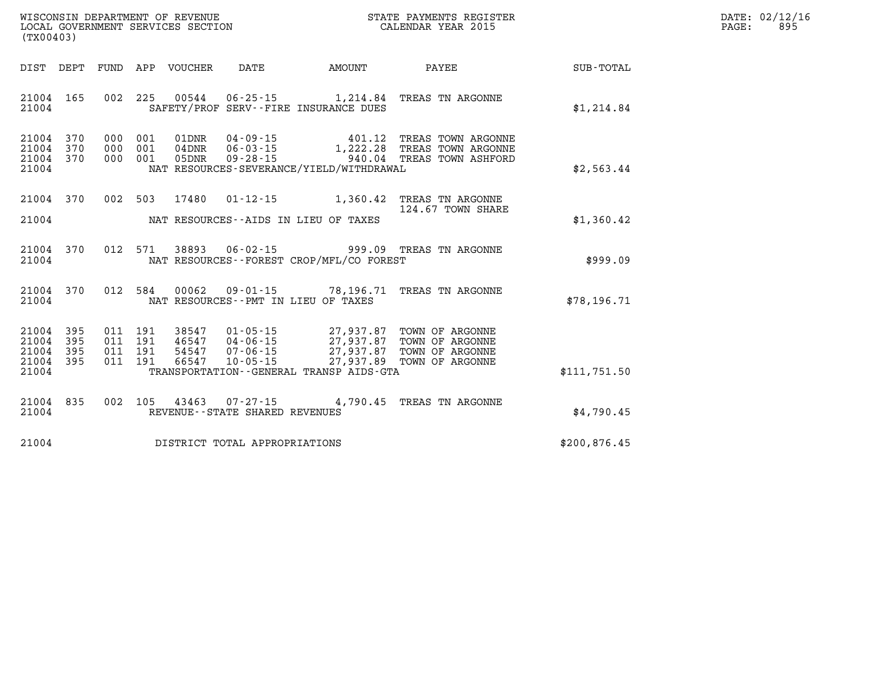| WISCONSIN DEPARTMENT OF REVENUE   | PAYMENTS REGISTER<br>ТТАТЕ | 02/12/16<br>$\mathtt{DATE}$ : |
|-----------------------------------|----------------------------|-------------------------------|
| LOCAL GOVERNMENT SERVICES SECTION | CALENDAR YEAR 2015         | 89!<br>PAGE:                  |

| (TX00403)                                                             |                                                                                                                                                                                                                                                                |                  |
|-----------------------------------------------------------------------|----------------------------------------------------------------------------------------------------------------------------------------------------------------------------------------------------------------------------------------------------------------|------------------|
| DIST<br>DEPT                                                          | FUND<br>APP<br>VOUCHER<br>DATE<br>AMOUNT<br>PAYEE                                                                                                                                                                                                              | <b>SUB-TOTAL</b> |
| 21004<br>165<br>21004                                                 | 002<br>225<br>00544  06-25-15  1,214.84  TREAS TN ARGONNE<br>SAFETY/PROF SERV--FIRE INSURANCE DUES                                                                                                                                                             | \$1,214.84       |
| 370<br>21004<br>370<br>21004<br>21004<br>370<br>21004                 | 401.12<br>000<br>001<br>01DNR<br>04-09-15<br>TREAS TOWN ARGONNE<br>04DNR  06-03-15  1,222.28 TREAS TOWN ARGONNE<br>000<br>001<br>$09 - 28 - 15$ 940.04<br>001<br>000<br>05DNR<br>TREAS TOWN ASHFORD<br>NAT RESOURCES-SEVERANCE/YIELD/WITHDRAWAL                | \$2,563.44       |
| 370<br>21004<br>21004                                                 | 002<br>503<br>$01 - 12 - 15$<br>17480<br>1,360.42<br>TREAS TN ARGONNE<br>124.67 TOWN SHARE<br>NAT RESOURCES -- AIDS IN LIEU OF TAXES                                                                                                                           | \$1,360.42       |
| 370<br>21004<br>21004                                                 | 012<br>571<br>38893 06-02-15<br>999.09 TREAS TN ARGONNE<br>NAT RESOURCES - - FOREST CROP/MFL/CO FOREST                                                                                                                                                         | \$999.09         |
| 370<br>21004<br>21004                                                 | 012<br>584<br>00062<br>09-01-15 78,196.71<br>TREAS TN ARGONNE<br>NAT RESOURCES -- PMT IN LIEU OF TAXES                                                                                                                                                         | \$78,196.71      |
| 21004<br>395<br>21004<br>395<br>21004<br>395<br>21004<br>395<br>21004 | 011 191<br>27,937.87<br>TOWN OF ARGONNE<br>011 191<br>TOWN OF ARGONNE<br>54547 07-06-15<br>191<br>27,937.87<br>011<br>TOWN OF ARGONNE<br>27,937.89<br>011<br>191<br>66547<br>$10 - 05 - 15$<br>TOWN OF ARGONNE<br>TRANSPORTATION - - GENERAL TRANSP AIDS - GTA | \$111,751.50     |
| 21004<br>835<br>21004                                                 | 002<br>105<br>43463<br>$07 - 27 - 15$<br>4,790.45<br>TREAS TN ARGONNE<br>REVENUE - - STATE SHARED REVENUES                                                                                                                                                     | \$4,790.45       |
| 21004                                                                 | DISTRICT TOTAL APPROPRIATIONS                                                                                                                                                                                                                                  | \$200,876.45     |

WISCONSIN DEPARTMENT OF REVENUE **STATE PAYMENTS REGISTER**<br>LOCAL GOVERNMENT SERVICES SECTION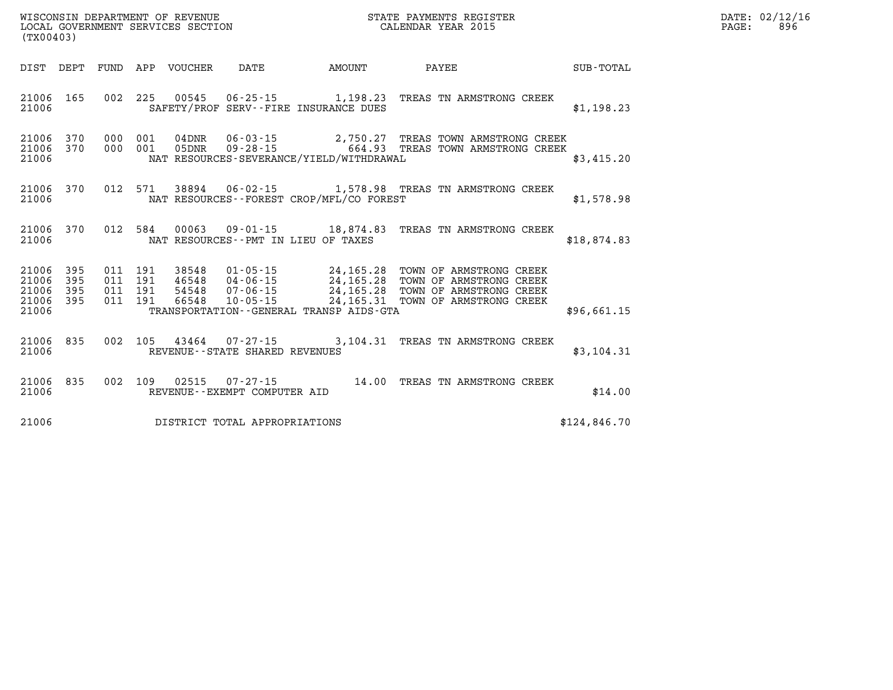| WISCONSIN DEPARTMENT OF REVENUE   | STATE PAYMENTS REGISTER | DATE: 02/12/16 |
|-----------------------------------|-------------------------|----------------|
| LOCAL GOVERNMENT SERVICES SECTION | CALENDAR YEAR 2015      | 896<br>PAGE:   |

| (TX00403)                                         |            |                                          | LOCAL GOVERNMENT SERVICES SECTION        |                                |                                                                                                                                                                                                                                                    | CALENDAR YEAR 2015 |                 | PAGE: | 896 |
|---------------------------------------------------|------------|------------------------------------------|------------------------------------------|--------------------------------|----------------------------------------------------------------------------------------------------------------------------------------------------------------------------------------------------------------------------------------------------|--------------------|-----------------|-------|-----|
|                                                   |            |                                          |                                          |                                | DIST DEPT FUND APP VOUCHER DATE AMOUNT                                                                                                                                                                                                             |                    | PAYEE SUB-TOTAL |       |     |
| 21006 165<br>21006                                |            |                                          |                                          |                                | 002 225 00545 06-25-15 1,198.23 TREAS TN ARMSTRONG CREEK<br>SAFETY/PROF SERV--FIRE INSURANCE DUES                                                                                                                                                  |                    | \$1,198.23      |       |     |
| 21006                                             | 21006 370  |                                          | 21006 370 000 001 04DNR<br>000 001 05DNR |                                | 06-03-15 2,750.27 TREAS TOWN ARMSTRONG CREEK<br>09-28-15 664.93 TREAS TOWN ARMSTRONG CREEK<br>NAT RESOURCES-SEVERANCE/YIELD/WITHDRAWAL                                                                                                             |                    | \$3,415.20      |       |     |
| 21006                                             |            |                                          |                                          |                                | 21006 370 012 571 38894 06-02-15 1,578.98 TREAS TN ARMSTRONG CREEK<br>NAT RESOURCES--FOREST CROP/MFL/CO FOREST                                                                                                                                     |                    | \$1,578.98      |       |     |
| 21006                                             |            |                                          |                                          |                                | 21006 370 012 584 00063 09-01-15 18,874.83 TREAS TN ARMSTRONG CREEK<br>NAT RESOURCES--PMT IN LIEU OF TAXES                                                                                                                                         |                    | \$18,874.83     |       |     |
| 21006 395<br>21006<br>21006<br>21006 395<br>21006 | 395<br>395 | 011 191<br>011 191<br>011 191<br>011 191 | 38548                                    |                                | 01-05-15 24, 165.28 TOWN OF ARMSTRONG CREEK<br>46548 04-06-15 24,165.28 TOWN OF ARMSTRONG CREEK<br>54548 07-06-15 24,165.28 TOWN OF ARMSTRONG CREEK<br>66548 10-05-15 24,165.31 TOWN OF ARMSTRONG CREEK<br>TRANSPORTATION--GENERAL TRANSP AIDS-GTA |                    | \$96,661.15     |       |     |
| 21006                                             |            |                                          |                                          | REVENUE--STATE SHARED REVENUES | 21006 835 002 105 43464 07-27-15 3,104.31 TREAS TN ARMSTRONG CREEK                                                                                                                                                                                 |                    | \$3,104.31      |       |     |
| 21006                                             | 21006 835  |                                          |                                          | REVENUE--EXEMPT COMPUTER AID   | 002 109 02515 07-27-15 14.00 TREAS TN ARMSTRONG CREEK                                                                                                                                                                                              |                    | \$14.00         |       |     |
| 21006                                             |            |                                          |                                          | DISTRICT TOTAL APPROPRIATIONS  |                                                                                                                                                                                                                                                    |                    | \$124,846.70    |       |     |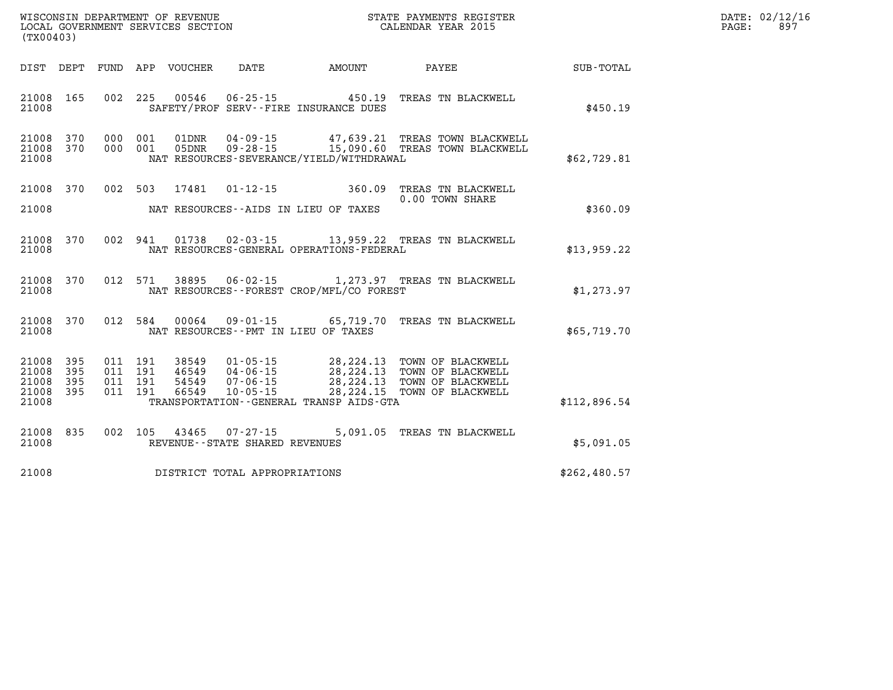| WISCONSIN DEPARTMENT OF REVENUE   | PAYMENTS REGISTER<br>3TATE | DATE: | 02/12/16 |
|-----------------------------------|----------------------------|-------|----------|
| LOCAL GOVERNMENT SERVICES SECTION | CALENDAR YEAR 2015         | PAGE  | 99'      |

|                | LOCAL GOVERNMENT SERVICES SECTION<br>(TX00403) |            |         |         |  |                                | CALENDAR YEAR 2015                       |                                                                                                                                                                                                                      |              | PAGE: | 897 |
|----------------|------------------------------------------------|------------|---------|---------|--|--------------------------------|------------------------------------------|----------------------------------------------------------------------------------------------------------------------------------------------------------------------------------------------------------------------|--------------|-------|-----|
|                |                                                |            |         |         |  |                                |                                          | DIST DEPT FUND APP VOUCHER DATE AMOUNT PAYEE TOTAL                                                                                                                                                                   |              |       |     |
| 21008          | 21008 165                                      |            |         |         |  |                                | SAFETY/PROF SERV--FIRE INSURANCE DUES    | 002 225 00546 06-25-15 450.19 TREAS TN BLACKWELL                                                                                                                                                                     | \$450.19     |       |     |
| 21008          | 21008 370<br>21008 370                         |            | 000 001 | 000 001 |  |                                | NAT RESOURCES-SEVERANCE/YIELD/WITHDRAWAL | 01DNR  04-09-15  47,639.21 TREAS TOWN BLACKWELL<br>05DNR  09-28-15  15,090.60 TREAS TOWN BLACKWELL                                                                                                                   | \$62,729.81  |       |     |
| 21008          |                                                |            |         |         |  |                                | NAT RESOURCES--AIDS IN LIEU OF TAXES     | 21008 370 002 503 17481 01-12-15 360.09 TREAS TN BLACKWELL<br>0.00 TOWN SHARE<br>0.00 TOWN SHARE                                                                                                                     | \$360.09     |       |     |
| 21008          | 21008 370                                      |            |         |         |  |                                | NAT RESOURCES-GENERAL OPERATIONS-FEDERAL | 002 941 01738 02-03-15 13,959.22 TREAS TN BLACKWELL                                                                                                                                                                  | \$13,959.22  |       |     |
| 21008          | 21008 370                                      |            |         |         |  |                                | NAT RESOURCES--FOREST CROP/MFL/CO FOREST | 012 571 38895 06-02-15 1,273.97 TREAS TN BLACKWELL                                                                                                                                                                   | \$1,273.97   |       |     |
| 21008          | 21008 370                                      |            |         |         |  |                                | NAT RESOURCES--PMT IN LIEU OF TAXES      | 012 584 00064 09-01-15 65,719.70 TREAS TN BLACKWELL                                                                                                                                                                  | \$65,719.70  |       |     |
| 21008<br>21008 | 21008 395<br>21008<br>21008 395                | 395<br>395 |         |         |  |                                | TRANSPORTATION--GENERAL TRANSP AIDS-GTA  | 011 191 38549 01-05-15 28,224.13 TOWN OF BLACKWELL<br>011 191 46549 04-06-15 28,224.13 TOWN OF BLACKWELL<br>011 191 54549 07-06-15 28,224.13 TOWN OF BLACKWELL<br>011 191 66549 10-05-15 28,224.15 TOWN OF BLACKWELL | \$112,896.54 |       |     |
| 21008          | 21008 835                                      |            |         |         |  | REVENUE--STATE SHARED REVENUES |                                          | 002 105 43465 07-27-15 5,091.05 TREAS TN BLACKWELL                                                                                                                                                                   | \$5,091.05   |       |     |
| 21008          |                                                |            |         |         |  | DISTRICT TOTAL APPROPRIATIONS  |                                          |                                                                                                                                                                                                                      | \$262,480.57 |       |     |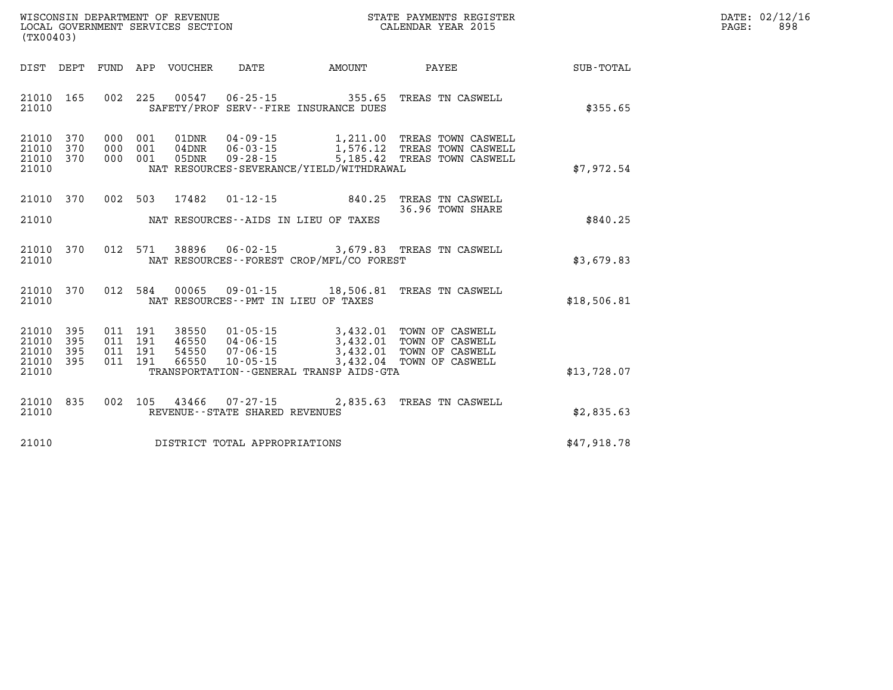| WISCONSIN DEPARTMENT OF REVENUE   | STATE PAYMENTS REGISTER | DATE: 02/12/16 |     |
|-----------------------------------|-------------------------|----------------|-----|
| LOCAL GOVERNMENT SERVICES SECTION | CALENDAR YEAR 2015      | PAGE:          | 898 |

| (TX00403)                                                                                         |                                                                                                                                                                                                                                                                                                                  |             |
|---------------------------------------------------------------------------------------------------|------------------------------------------------------------------------------------------------------------------------------------------------------------------------------------------------------------------------------------------------------------------------------------------------------------------|-------------|
| DIST<br>DEPT<br>FUND                                                                              | APP<br><b>DATE</b><br>VOUCHER<br>AMOUNT<br>PAYEE                                                                                                                                                                                                                                                                 | SUB-TOTAL   |
| 002<br>21010<br>165<br>21010                                                                      | 225<br>00547<br>$06 - 25 - 15$<br>355.65<br>TREAS TN CASWELL<br>SAFETY/PROF SERV--FIRE INSURANCE DUES                                                                                                                                                                                                            | \$355.65    |
| 21010<br>370<br>000<br>21010<br>000<br>370<br>21010<br>370<br>000<br>21010                        | 001<br>04 - 09 - 15<br>1,211.00<br>01DNR<br>TREAS TOWN CASWELL<br>1,576.12<br>001<br>$04\,\mathrm{DNR}$<br>$06 - 03 - 15$<br>TREAS TOWN CASWELL<br>001<br>05DNR<br>$09 - 28 - 15$<br>5,185.42<br>TREAS TOWN CASWELL<br>NAT RESOURCES-SEVERANCE/YIELD/WITHDRAWAL                                                  | \$7,972.54  |
| 370<br>002<br>21010<br>21010                                                                      | 503<br>17482<br>$01 - 12 - 15$<br>840.25<br>TREAS TN CASWELL<br>36.96 TOWN SHARE<br>NAT RESOURCES -- AIDS IN LIEU OF TAXES                                                                                                                                                                                       | \$840.25    |
| 012<br>21010<br>370<br>21010                                                                      | 571<br>38896  06-02-15  3,679.83  TREAS TN CASWELL<br>NAT RESOURCES - - FOREST CROP/MFL/CO FOREST                                                                                                                                                                                                                | \$3,679.83  |
| 012<br>21010<br>370<br>21010                                                                      | 584<br>00065 09-01-15 18,506.81<br>TREAS TN CASWELL<br>NAT RESOURCES -- PMT IN LIEU OF TAXES                                                                                                                                                                                                                     | \$18,506.81 |
| 21010<br>395<br>011<br>395<br>21010<br>011<br>21010<br>395<br>011<br>21010<br>395<br>011<br>21010 | 191<br>38550<br>$01 - 05 - 15$<br>3,432.01<br>TOWN OF CASWELL<br>191<br>46550<br>$04 - 06 - 15$<br>3,432.01<br>TOWN OF CASWELL<br>191<br>$07 - 06 - 15$<br>3,432.01<br>54550<br>TOWN OF CASWELL<br>191<br>3,432.04<br>66550<br>$10 - 05 - 15$<br>TOWN OF CASWELL<br>TRANSPORTATION - - GENERAL TRANSP AIDS - GTA | \$13,728.07 |
| 002<br>21010<br>835<br>21010                                                                      | 105<br>43466<br>$07 - 27 - 15$<br>2,835.63<br>TREAS TN CASWELL<br>REVENUE - - STATE SHARED REVENUES                                                                                                                                                                                                              | \$2,835.63  |
| 21010                                                                                             | DISTRICT TOTAL APPROPRIATIONS                                                                                                                                                                                                                                                                                    | \$47,918.78 |

WISCONSIN DEPARTMENT OF REVENUE **STATE PAYMENTS REGISTER**<br>LOCAL GOVERNMENT SERVICES SECTION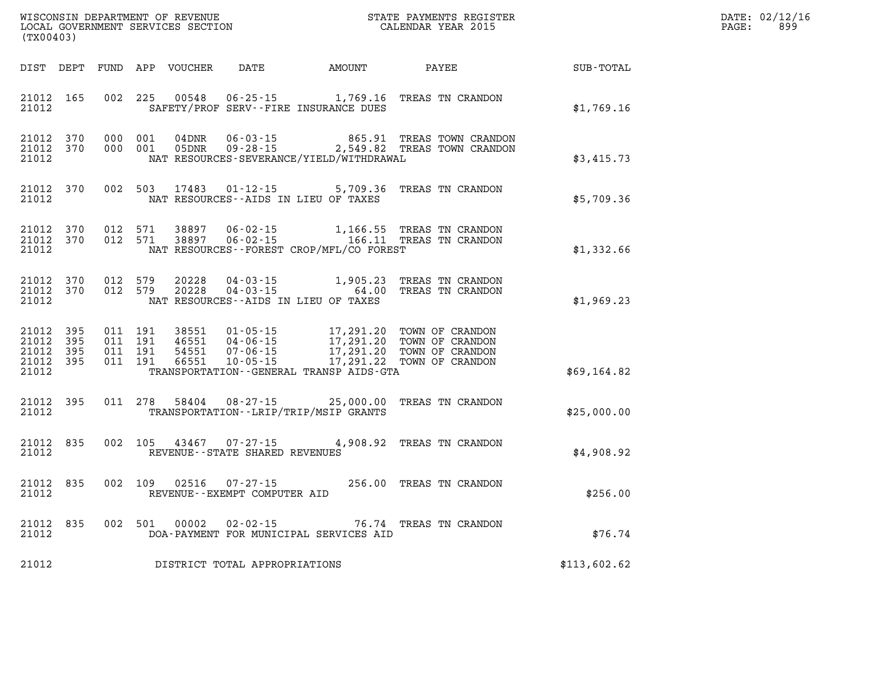| (TX00403)                                             |                   |                                          |         | WISCONSIN DEPARTMENT OF REVENUE<br>LOCAL GOVERNMENT SERVICES SECTION |                                        | STATE PAYMENTS REGISTER<br>CALENDAR YEAR 2015 |                                                                                                                                                                                          |              | DATE: 02/12/16<br>899<br>$\mathtt{PAGE:}$ |
|-------------------------------------------------------|-------------------|------------------------------------------|---------|----------------------------------------------------------------------|----------------------------------------|-----------------------------------------------|------------------------------------------------------------------------------------------------------------------------------------------------------------------------------------------|--------------|-------------------------------------------|
|                                                       |                   |                                          |         |                                                                      | DIST DEPT FUND APP VOUCHER DATE AMOUNT |                                               | <b>PAYEE</b>                                                                                                                                                                             | SUB-TOTAL    |                                           |
| 21012 165<br>21012                                    |                   | 002 225                                  |         | 00548                                                                |                                        | SAFETY/PROF SERV--FIRE INSURANCE DUES         | 06-25-15 1,769.16 TREAS TN CRANDON                                                                                                                                                       | \$1,769.16   |                                           |
| 21012 370<br>21012                                    | 21012 370 000 001 | 000 001                                  |         | 04DNR<br>05DNR                                                       |                                        | NAT RESOURCES-SEVERANCE/YIELD/WITHDRAWAL      | 06-03-15 865.91 TREAS TOWN CRANDON<br>09-28-15 2,549.82 TREAS TOWN CRANDON                                                                                                               | \$3,415.73   |                                           |
| 21012 370<br>21012                                    |                   |                                          |         | 002 503 17483                                                        | $01 - 12 - 15$                         | NAT RESOURCES--AIDS IN LIEU OF TAXES          | 5,709.36 TREAS TN CRANDON                                                                                                                                                                | \$5,709.36   |                                           |
| 21012 370<br>21012                                    | 21012 370 012 571 | 012 571                                  |         |                                                                      |                                        | NAT RESOURCES - - FOREST CROP/MFL/CO FOREST   | 38897  06-02-15   1,166.55  TREAS TN CRANDON<br>38897  06-02-15   166.11  TREAS TN CRANDON                                                                                               | \$1,332.66   |                                           |
| 21012 370<br>21012                                    | 21012 370         | 012 579<br>012 579                       |         | 20228<br>20228                                                       |                                        | NAT RESOURCES -- AIDS IN LIEU OF TAXES        | 04-03-15 1,905.23 TREAS TN CRANDON<br>04-03-15 64.00 TREAS TN CRANDON                                                                                                                    | \$1,969.23   |                                           |
| 21012 395<br>21012 395<br>21012<br>21012 395<br>21012 | - 395             | 011 191<br>011 191<br>011 191<br>011 191 |         |                                                                      |                                        | TRANSPORTATION--GENERAL TRANSP AIDS-GTA       | 38551  01-05-15  17,291.20  TOWN OF CRANDON<br>46551  04-06-15  17,291.20  TOWN OF CRANDON<br>54551  07-06-15  17,291.20  TOWN OF CRANDON<br>66551  10-05-15  17,291.22  TOWN OF CRANDON | \$69,164.82  |                                           |
| 21012 395<br>21012                                    |                   |                                          |         | 011 278 58404                                                        |                                        | TRANSPORTATION - - LRIP/TRIP/MSIP GRANTS      | 08-27-15 25,000.00 TREAS TN CRANDON                                                                                                                                                      | \$25,000.00  |                                           |
| 21012 835<br>21012                                    |                   |                                          |         |                                                                      | REVENUE - - STATE SHARED REVENUES      |                                               | 002 105 43467 07-27-15 4,908.92 TREAS TN CRANDON                                                                                                                                         | \$4,908.92   |                                           |
| 21012 835<br>21012                                    |                   |                                          | 002 109 |                                                                      | REVENUE--EXEMPT COMPUTER AID           |                                               | 02516  07-27-15  256.00 TREAS TN CRANDON                                                                                                                                                 | \$256.00     |                                           |
| 21012                                                 | 21012 835         |                                          |         | 002 501 00002                                                        |                                        | DOA-PAYMENT FOR MUNICIPAL SERVICES AID        | 02-02-15 76.74 TREAS TN CRANDON                                                                                                                                                          | \$76.74      |                                           |
| 21012                                                 |                   |                                          |         |                                                                      | DISTRICT TOTAL APPROPRIATIONS          |                                               |                                                                                                                                                                                          | \$113,602.62 |                                           |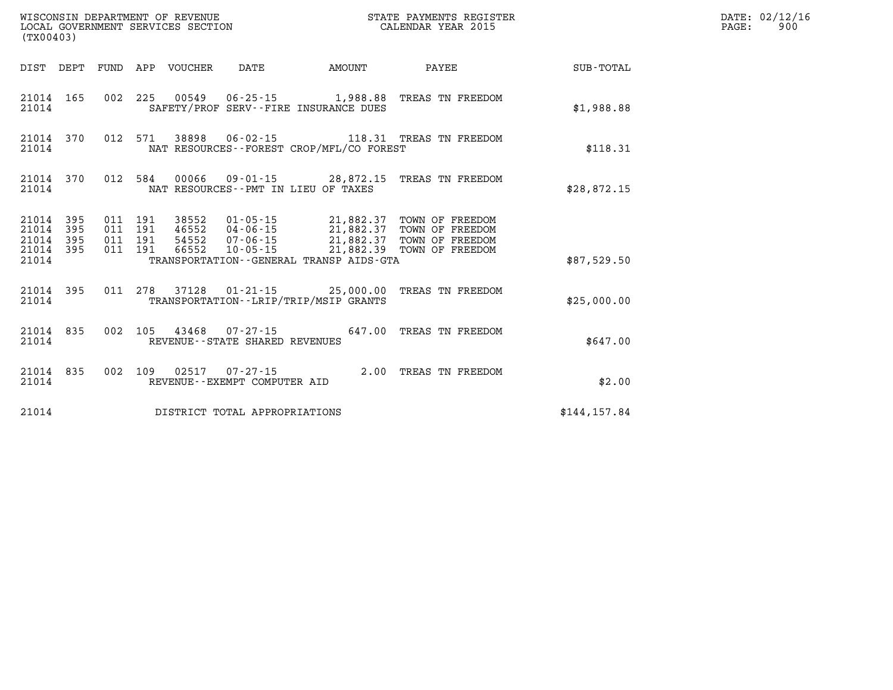| (TX00403)                                                 |           |  |                                 |                                | $\tt WISCONSIM DEPARTMENT OF REVENUE$ $\tt WISCONSIMENT$ SERVICES SECTION $\tt WISCONERNMENT$ SERVICES SECTION $\tt CALENDAR$ YEAR 2015 |                                                                                                                                                                                                                                                                                                                                                            | DATE: 02/12/16<br>$\mathtt{PAGE:}$<br>900 |  |
|-----------------------------------------------------------|-----------|--|---------------------------------|--------------------------------|-----------------------------------------------------------------------------------------------------------------------------------------|------------------------------------------------------------------------------------------------------------------------------------------------------------------------------------------------------------------------------------------------------------------------------------------------------------------------------------------------------------|-------------------------------------------|--|
|                                                           |           |  | DIST DEPT FUND APP VOUCHER DATE |                                | <b>EXAMPLE THE AMOUNT</b>                                                                                                               | <b>PAYEE</b> PAYEE                                                                                                                                                                                                                                                                                                                                         | SUB-TOTAL                                 |  |
| 21014 165<br>21014                                        |           |  |                                 |                                | SAFETY/PROF SERV--FIRE INSURANCE DUES                                                                                                   | 002 225 00549 06-25-15 1,988.88 TREAS TN FREEDOM                                                                                                                                                                                                                                                                                                           | \$1,988.88                                |  |
| 21014                                                     | 21014 370 |  |                                 |                                | NAT RESOURCES - - FOREST CROP/MFL/CO FOREST                                                                                             | 012 571 38898 06-02-15 118.31 TREAS TN FREEDOM                                                                                                                                                                                                                                                                                                             | \$118.31                                  |  |
| 21014                                                     |           |  |                                 |                                | NAT RESOURCES--PMT IN LIEU OF TAXES                                                                                                     | 21014 370 012 584 00066 09-01-15 28,872.15 TREAS TN FREEDOM                                                                                                                                                                                                                                                                                                | \$28,872.15                               |  |
| 21014 395<br>21014 395<br>21014 395<br>21014 395<br>21014 |           |  |                                 |                                | TRANSPORTATION--GENERAL TRANSP AIDS-GTA                                                                                                 | $\begin{array}{cccc} 011 & 191 & 38552 & 01\cdot 05\cdot 15 & 21,882.37 & \text{TOWN OF FREEDOM} \\ 011 & 191 & 46552 & 04\cdot 06\cdot 15 & 21,882.37 & \text{TOWN OF FREEDOM} \\ 011 & 191 & 54552 & 07\cdot 06\cdot 15 & 21,882.37 & \text{TOWN OF FREEDOM} \\ 011 & 191 & 66552 & 10\cdot 05\cdot 15 & 21,882.39 & \text{TOWN OF FREEDOM} \end{array}$ | \$87,529.50                               |  |
| 21014                                                     | 21014 395 |  |                                 |                                | TRANSPORTATION--LRIP/TRIP/MSIP GRANTS                                                                                                   | 011 278 37128 01-21-15 25,000.00 TREAS TN FREEDOM                                                                                                                                                                                                                                                                                                          | \$25,000.00                               |  |
| 21014                                                     | 21014 835 |  |                                 | REVENUE--STATE SHARED REVENUES |                                                                                                                                         | 002 105 43468 07-27-15 647.00 TREAS TN FREEDOM                                                                                                                                                                                                                                                                                                             | \$647.00                                  |  |
| 21014 835<br>21014                                        |           |  |                                 | REVENUE--EXEMPT COMPUTER AID   |                                                                                                                                         | 002 109 02517 07-27-15 2.00 TREAS TN FREEDOM                                                                                                                                                                                                                                                                                                               | \$2.00                                    |  |
| 21014                                                     |           |  |                                 | DISTRICT TOTAL APPROPRIATIONS  |                                                                                                                                         |                                                                                                                                                                                                                                                                                                                                                            | \$144.157.84                              |  |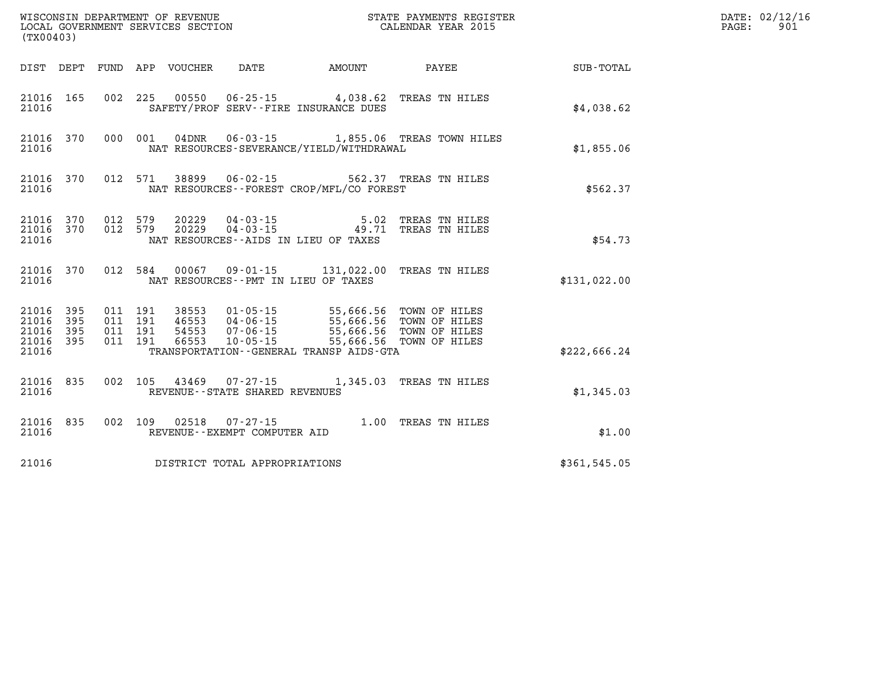| (TX00403)                                                 |  |  |                                |                                                                                                                                                                                                                                                      | WISCONSIN DEPARTMENT OF REVENUE<br>LOCAL GOVERNMENT SERVICES SECTION<br>CALENDAR YEAR 2015    |                                                    | DATE: 02/12/16<br>PAGE:<br>901 |
|-----------------------------------------------------------|--|--|--------------------------------|------------------------------------------------------------------------------------------------------------------------------------------------------------------------------------------------------------------------------------------------------|-----------------------------------------------------------------------------------------------|----------------------------------------------------|--------------------------------|
|                                                           |  |  |                                |                                                                                                                                                                                                                                                      |                                                                                               | DIST DEPT FUND APP VOUCHER DATE AMOUNT PAYEE TOTAL |                                |
| 21016 165<br>21016                                        |  |  |                                | 002 225 00550 06-25-15 4,038.62 TREAS TN HILES<br>SAFETY/PROF SERV--FIRE INSURANCE DUES                                                                                                                                                              |                                                                                               | \$4,038.62                                         |                                |
| 21016                                                     |  |  |                                | NAT RESOURCES-SEVERANCE/YIELD/WITHDRAWAL                                                                                                                                                                                                             | 21016 370 000 001 04DNR 06-03-15 1,855.06 TREAS TOWN HILES                                    | \$1,855.06                                         |                                |
| 21016 370<br>21016                                        |  |  |                                | 012 571 38899 06-02-15 562.37 TREAS TN HILES<br>NAT RESOURCES - - FOREST CROP/MFL/CO FOREST                                                                                                                                                          |                                                                                               | \$562.37                                           |                                |
| 21016 370<br>21016 370<br>21016                           |  |  |                                | NAT RESOURCES--AIDS IN LIEU OF TAXES                                                                                                                                                                                                                 | 012 579 20229 04-03-15   5.02 TREAS TN HILES<br>012 579 20229 04-03-15   49.71 TREAS TN HILES | \$54.73                                            |                                |
| 21016 370<br>21016                                        |  |  |                                | 012 584 00067 09-01-15 131,022.00 TREAS TN HILES<br>NAT RESOURCES--PMT IN LIEU OF TAXES                                                                                                                                                              |                                                                                               | \$131,022.00                                       |                                |
| 21016 395<br>21016 395<br>21016 395<br>21016 395<br>21016 |  |  |                                | 011 191 38553 01-05-15 55,666.56 TOWN OF HILES<br>011 191 46553 04-06-15 55,666.56 TOWN OF HILES<br>011 191 54553 07-06-15 55,666.56 TOWN OF HILES<br>011 191 66553 10-05-15 55,666.56 TOWN OF HILES<br>TRANSPORTATION - - GENERAL TRANSP AIDS - GTA |                                                                                               | \$222,666.24                                       |                                |
| 21016 835<br>21016                                        |  |  | REVENUE--STATE SHARED REVENUES | 002 105 43469 07-27-15 1,345.03 TREAS TN HILES                                                                                                                                                                                                       |                                                                                               | \$1,345.03                                         |                                |
| 21016 835<br>21016                                        |  |  | REVENUE--EXEMPT COMPUTER AID   | 002 $109$ 02518 07-27-15 $1.00$ TREAS TN HILES<br>REVENUE--EXEMPT COMPITER AID                                                                                                                                                                       |                                                                                               | \$1.00                                             |                                |
| 21016                                                     |  |  | DISTRICT TOTAL APPROPRIATIONS  |                                                                                                                                                                                                                                                      |                                                                                               | \$361,545.05                                       |                                |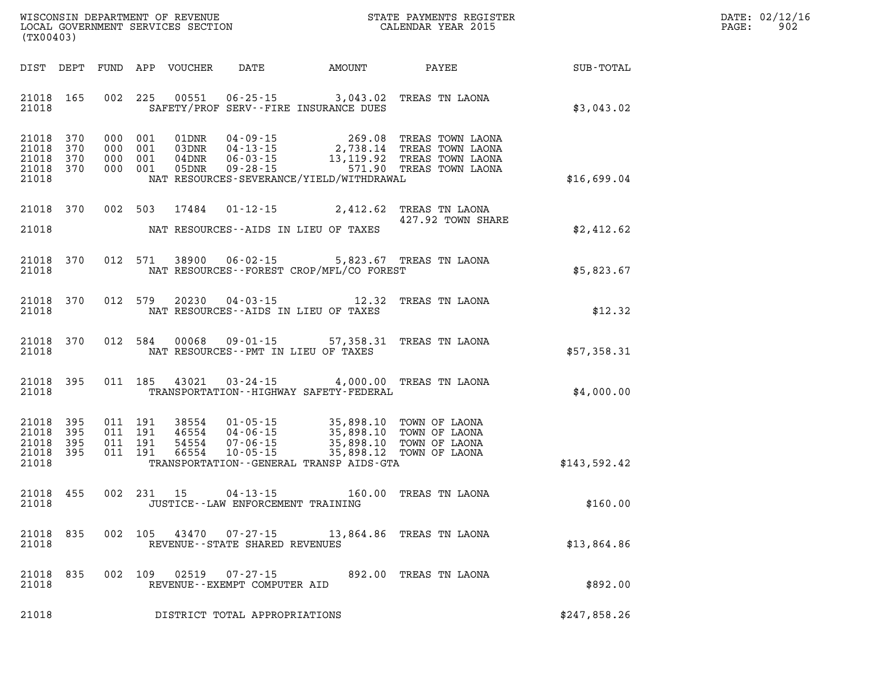| WISCONSIN DEPARTMENT OF REVENUE   | STATE PAYMENTS REGISTER | $\texttt{DATE:}$ | .: 02/12/16 |
|-----------------------------------|-------------------------|------------------|-------------|
| LOCAL GOVERNMENT SERVICES SECTION | CALENDAR YEAR 2015      | PAGE:            | 902         |

| LOCAL GOVERNMENT SERVICES SECTION<br>(TX00403)                        |     |                                          |                                  |                                                          |                                                                                 | CALENDAR YEAR 2015                                                                                                                                                        |                             | PAGE: | 902 |
|-----------------------------------------------------------------------|-----|------------------------------------------|----------------------------------|----------------------------------------------------------|---------------------------------------------------------------------------------|---------------------------------------------------------------------------------------------------------------------------------------------------------------------------|-----------------------------|-------|-----|
| DIST DEPT                                                             |     |                                          | FUND APP VOUCHER                 |                                                          |                                                                                 |                                                                                                                                                                           | DATE AMOUNT PAYEE SUB-TOTAL |       |     |
| 21018 165<br>21018                                                    |     | 002 225                                  | 00551                            |                                                          | 06-25-15 3,043.02 TREAS TN LAONA<br>SAFETY/PROF SERV--FIRE INSURANCE DUES       |                                                                                                                                                                           | \$3,043.02                  |       |     |
| 21018<br>370<br>21018<br>370<br>21018<br>370<br>21018<br>370<br>21018 | 000 | 000 001<br>000 001<br>001<br>000 001     |                                  |                                                          | NAT RESOURCES-SEVERANCE/YIELD/WITHDRAWAL                                        | 01DNR 04-09-15 269.08 TREAS TOWN LAONA<br>03DNR 04-13-15 2,738.14 TREAS TOWN LAONA<br>04DNR 06-03-15 13,119.92 TREAS TOWN LAONA<br>05DNR 09-28-15 571.90 TREAS TOWN LAONA | \$16,699.04                 |       |     |
| 21018<br>370                                                          |     | 002 503                                  | 17484                            |                                                          | 01-12-15 2,412.62 TREAS TN LAONA                                                | 427.92 TOWN SHARE                                                                                                                                                         |                             |       |     |
| 21018                                                                 |     |                                          |                                  |                                                          | NAT RESOURCES--AIDS IN LIEU OF TAXES                                            |                                                                                                                                                                           | \$2,412.62                  |       |     |
| 21018<br>370<br>21018                                                 |     | 012 571                                  | 38900                            |                                                          | 06-02-15 5,823.67 TREAS TN LAONA<br>NAT RESOURCES--FOREST CROP/MFL/CO FOREST    |                                                                                                                                                                           | \$5,823.67                  |       |     |
| 21018<br>370<br>21018                                                 |     | 012 579                                  | 20230                            | $04 - 03 - 15$                                           | 12.32 TREAS TN LAONA<br>NAT RESOURCES--AIDS IN LIEU OF TAXES                    |                                                                                                                                                                           | \$12.32                     |       |     |
| 21018<br>370<br>21018                                                 |     | 012 584                                  | 00068                            | 09-01-15                                                 | 57,358.31 TREAS TN LAONA<br>NAT RESOURCES--PMT IN LIEU OF TAXES                 |                                                                                                                                                                           | \$57,358.31                 |       |     |
| 21018<br>395<br>21018                                                 |     | 011 185                                  | 43021                            |                                                          | 03-24-15 4,000.00 TREAS TN LAONA<br>TRANSPORTATION - - HIGHWAY SAFETY - FEDERAL |                                                                                                                                                                           | \$4,000.00                  |       |     |
| 21018<br>395<br>21018<br>395<br>21018<br>395<br>21018<br>395<br>21018 |     | 011 191<br>011 191<br>011 191<br>011 191 | 38554<br>46554<br>54554<br>66554 | 01-05-15<br>04-06-15<br>$07 - 06 - 15$<br>$10 - 05 - 15$ | TRANSPORTATION--GENERAL TRANSP AIDS-GTA                                         | 35,898.10 TOWN OF LAONA<br>35,898.10 TOWN OF LAONA<br>35,898.10 TOWN OF LAONA<br>35,898.12 TOWN OF LAONA                                                                  | \$143,592.42                |       |     |
| 21018<br>455<br>21018                                                 |     | 002 231 15                               |                                  | $04 - 13 - 15$<br>JUSTICE - - LAW ENFORCEMENT TRAINING   |                                                                                 | 160.00 TREAS TN LAONA                                                                                                                                                     | \$160.00                    |       |     |
| 21018 835<br>21018                                                    |     |                                          |                                  | 002 105 43470 07-27-15<br>REVENUE--STATE SHARED REVENUES |                                                                                 | 13,864.86 TREAS TN LAONA                                                                                                                                                  | \$13,864.86                 |       |     |
| 21018<br>835<br>21018                                                 |     | 002 109                                  |                                  | 02519  07-27-15<br>REVENUE--EXEMPT COMPUTER AID          |                                                                                 | 892.00 TREAS TN LAONA                                                                                                                                                     | \$892.00                    |       |     |
| 21018                                                                 |     |                                          |                                  | DISTRICT TOTAL APPROPRIATIONS                            |                                                                                 |                                                                                                                                                                           | \$247,858.26                |       |     |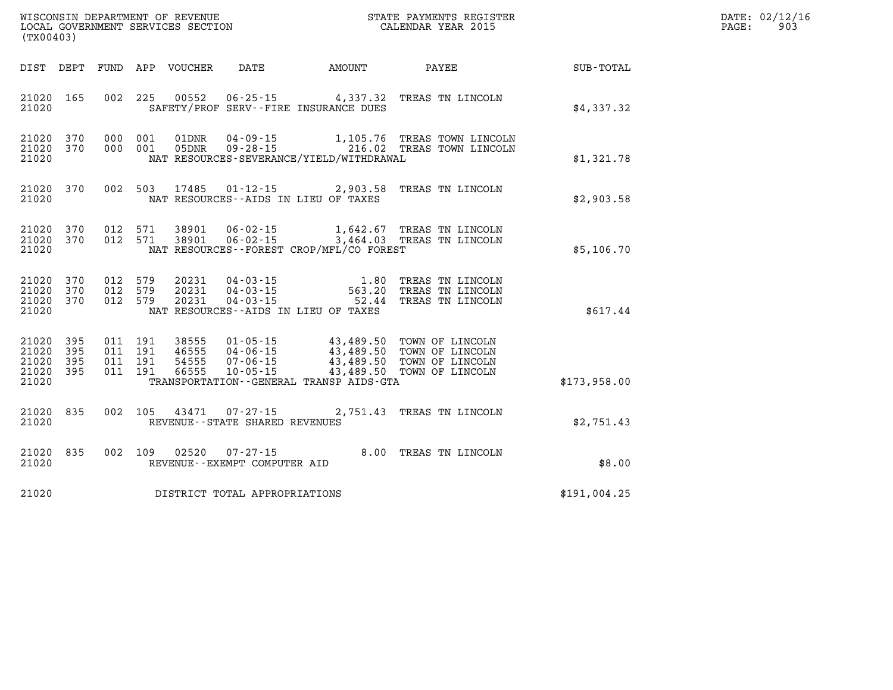| (TX00403)                                 |                          |                    |                                          | WISCONSIN DEPARTMENT OF REVENUE<br>LOCAL GOVERNMENT SERVICES SECTION |                                                     |                                                              |                                                                                                                           |              | DATE: 02/12/16<br>903<br>PAGE: |
|-------------------------------------------|--------------------------|--------------------|------------------------------------------|----------------------------------------------------------------------|-----------------------------------------------------|--------------------------------------------------------------|---------------------------------------------------------------------------------------------------------------------------|--------------|--------------------------------|
|                                           |                          |                    |                                          | DIST DEPT FUND APP VOUCHER                                           | DATE                                                | <b>EXAMOUNT</b>                                              | PAYEE                                                                                                                     | SUB-TOTAL    |                                |
| 21020 165<br>21020                        |                          |                    |                                          |                                                                      |                                                     | SAFETY/PROF SERV--FIRE INSURANCE DUES                        | 002 225 00552 06-25-15 4,337.32 TREAS TN LINCOLN                                                                          | \$4,337.32   |                                |
| 21020 370<br>21020 370<br>21020           |                          |                    | 000 001<br>000 001                       | 01DNR<br>05DNR                                                       | 04-09-15                                            | NAT RESOURCES-SEVERANCE/YIELD/WITHDRAWAL                     | 1,105.76 TREAS TOWN LINCOLN<br>09-28-15 216.02 TREAS TOWN LINCOLN                                                         | \$1,321.78   |                                |
| 21020 370<br>21020                        |                          |                    |                                          |                                                                      |                                                     | NAT RESOURCES -- AIDS IN LIEU OF TAXES                       | 002 503 17485 01-12-15 2,903.58 TREAS TN LINCOLN                                                                          | \$2,903.58   |                                |
| 21020 370<br>21020 370<br>21020           |                          |                    | 012 571<br>012 571                       | 38901<br>38901                                                       |                                                     | NAT RESOURCES - - FOREST CROP/MFL/CO FOREST                  | 06-02-15 1,642.67 TREAS TN LINCOLN<br>06-02-15 3,464.03 TREAS TN LINCOLN                                                  | \$5,106.70   |                                |
| 21020<br>21020<br>21020<br>21020          | 370<br>370<br>370        | 012 579<br>012 579 | 012 579                                  | 20231<br>20231<br>20231                                              | 04 - 03 - 15<br>04 - 03 - 15                        | $04 - 03 - 15$ 52.44<br>NAT RESOURCES--AIDS IN LIEU OF TAXES | 1.80 TREAS TN LINCOLN<br>563.20 TREAS TN LINCOLN<br>TREAS TN LINCOLN                                                      | \$617.44     |                                |
| 21020<br>21020<br>21020<br>21020<br>21020 | 395<br>395<br>395<br>395 |                    | 011 191<br>011 191<br>011 191<br>011 191 | 38555<br>46555<br>54555<br>66555                                     | 04-06-15<br>07-06-15<br>$10 - 05 - 15$              | TRANSPORTATION--GENERAL TRANSP AIDS-GTA                      | 01-05-15 43,489.50 TOWN OF LINCOLN<br>43,489.50 TOWN OF LINCOLN<br>43,489.50 TOWN OF LINCOLN<br>43,489.50 TOWN OF LINCOLN | \$173,958.00 |                                |
| 21020 835<br>21020                        |                          |                    | 002 105                                  | 43471                                                                | $07 - 27 - 15$<br>REVENUE - - STATE SHARED REVENUES |                                                              | 2,751.43 TREAS TN LINCOLN                                                                                                 | \$2,751.43   |                                |
| 21020 835<br>21020                        |                          |                    | 002 109                                  | 02520                                                                | 07-27-15<br>REVENUE--EXEMPT COMPUTER AID            |                                                              | 8.00 TREAS TN LINCOLN                                                                                                     | \$8.00       |                                |
| 21020                                     |                          |                    |                                          |                                                                      | DISTRICT TOTAL APPROPRIATIONS                       |                                                              |                                                                                                                           | \$191,004.25 |                                |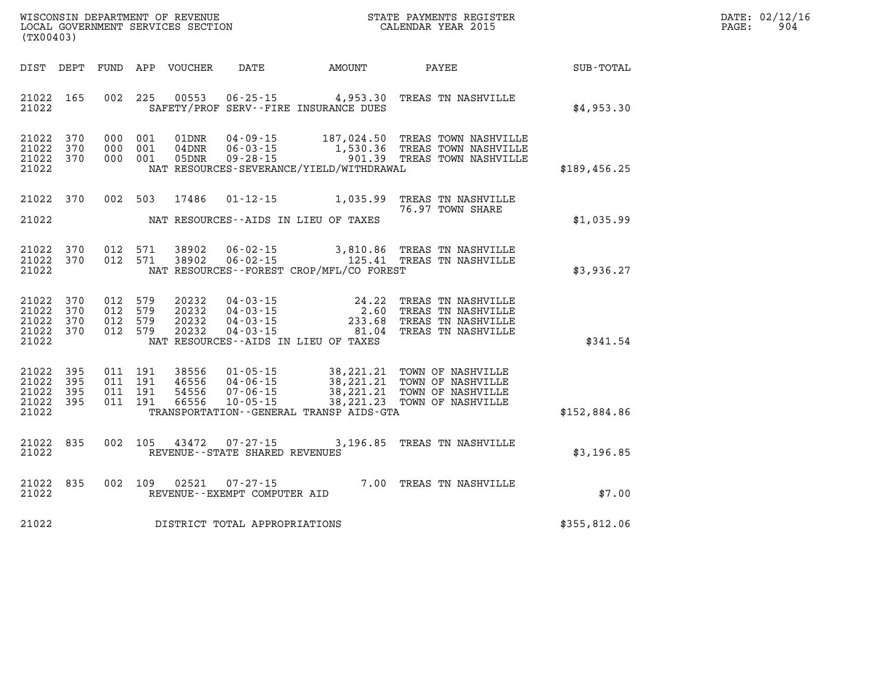| WISCONSIN DEPARTMENT OF REVENUE   | STATE PAYMENTS REGISTER |       | DATE: 02/12/16 |
|-----------------------------------|-------------------------|-------|----------------|
| LOCAL GOVERNMENT SERVICES SECTION | CALENDAR YEAR 2015      | PAGE: | 904            |

|       | (TX00403)                                        |                                          | LOCAL GOVERNMENT SERVICES SECTION |                                   | CALENDAR YEAR 2015                                                                                                                                                                                                                                                                     |                  |  |              | PAGE: | 904 |
|-------|--------------------------------------------------|------------------------------------------|-----------------------------------|-----------------------------------|----------------------------------------------------------------------------------------------------------------------------------------------------------------------------------------------------------------------------------------------------------------------------------------|------------------|--|--------------|-------|-----|
|       |                                                  |                                          | DIST DEPT FUND APP VOUCHER        |                                   | DATE AMOUNT PAYEE SUB-TOTAL                                                                                                                                                                                                                                                            |                  |  |              |       |     |
| 21022 | 21022 165                                        | 002 225                                  |                                   |                                   | 00553  06-25-15  4,953.30  TREAS TN NASHVILLE<br>SAFETY/PROF SERV--FIRE INSURANCE DUES                                                                                                                                                                                                 |                  |  | \$4,953.30   |       |     |
| 21022 | 21022 370<br>21022 370<br>21022 370              | 000 001<br>000 001<br>000 001            | 01DNR<br>04DNR<br>05DNR           |                                   | 04-09-15 187,024.50 TREAS TOWN NASHVILLE<br>06-03-15<br>06-03-15 1,530.36 TREAS TOWN NASHVILLE<br>09-28-15 901.39 TREAS TOWN NASHVILLE<br>NAT RESOURCES-SEVERANCE/YIELD/WITHDRAWAL                                                                                                     |                  |  | \$189,456.25 |       |     |
|       | 21022 370                                        | 002 503                                  | 17486                             |                                   | 01-12-15 1,035.99 TREAS TN NASHVILLE                                                                                                                                                                                                                                                   | 76.97 TOWN SHARE |  |              |       |     |
| 21022 |                                                  |                                          |                                   |                                   | NAT RESOURCES--AIDS IN LIEU OF TAXES                                                                                                                                                                                                                                                   |                  |  | \$1,035.99   |       |     |
| 21022 | 21022 370<br>21022 370                           | 012 571<br>012 571                       |                                   |                                   | 38902   06-02-15   3,810.86   TREAS TN NASHVILLE<br>38902   06-02-15   125.41   TREAS TN NASHVILLE<br>NAT RESOURCES - - FOREST CROP/MFL/CO FOREST                                                                                                                                      |                  |  | \$3,936.27   |       |     |
| 21022 | 21022 370<br>21022 370<br>21022 370<br>21022 370 | 012 579<br>012 579<br>012 579<br>012 579 | 20232<br>20232<br>20232<br>20232  |                                   | 04-03-15<br>04-03-15<br>04-03-15<br>04-03-15<br>04-03-15<br>04-03-15<br>04-03-15<br>04-03-15<br>04-03-15<br>04-03-15<br>04-03-15<br>04-03-15<br>04-03-15<br>04-03-15<br>04-03-15<br>04-03-15<br>04-03-15<br>04-03-15<br>04-03-15<br>04-03-15<br>NAT RESOURCES -- AIDS IN LIEU OF TAXES |                  |  | \$341.54     |       |     |
| 21022 | 21022 395<br>21022 395<br>21022 395<br>21022 395 | 011 191<br>011 191<br>011 191<br>011 191 |                                   |                                   | 38556 01-05-15 38,221.21 TOWN OF NASHVILLE<br>46556 04-06-15 38,221.21 TOWN OF NASHVILLE<br>54556 07-06-15 38,221.21 TOWN OF NASHVILLE<br>66556 10-05-15 38,221.23 TOWN OF NASHVILLE<br>TRANSPORTATION - - GENERAL TRANSP AIDS - GTA                                                   |                  |  | \$152,884.86 |       |     |
| 21022 | 21022 835                                        |                                          |                                   | REVENUE - - STATE SHARED REVENUES | 002 105 43472 07-27-15 3,196.85 TREAS TN NASHVILLE                                                                                                                                                                                                                                     |                  |  | \$3,196.85   |       |     |
| 21022 | 21022 835                                        |                                          | 002 109 02521                     | REVENUE--EXEMPT COMPUTER AID      | 07-27-15 7.00 TREAS TN NASHVILLE                                                                                                                                                                                                                                                       |                  |  | \$7.00       |       |     |
| 21022 |                                                  |                                          |                                   | DISTRICT TOTAL APPROPRIATIONS     |                                                                                                                                                                                                                                                                                        |                  |  | \$355,812.06 |       |     |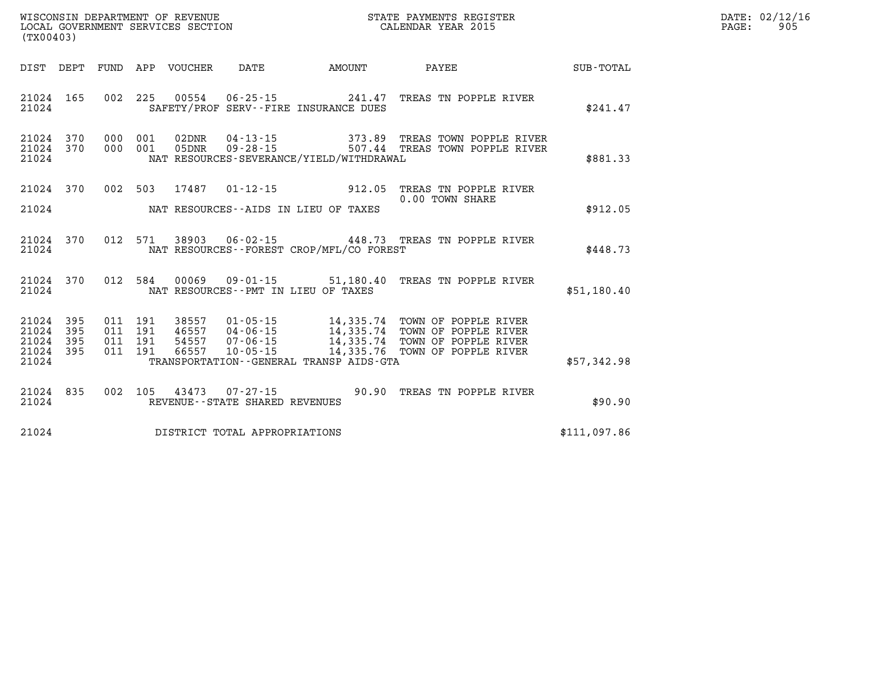| WISCONSIN DEPARTMENT OF REVENUE   | STATE PAYMENTS REGISTER |       | DATE: 02/12/16 |
|-----------------------------------|-------------------------|-------|----------------|
| LOCAL GOVERNMENT SERVICES SECTION | CALENDAR YEAR 2015      | PAGE: | 905            |

| (TX00403)                                    |                        |  | LOCAL GOVERNMENT SERVICES SECTION |                                   |                                          | CALENDAR YEAR 2015                                                                                             |              | PAGE: | 905 |
|----------------------------------------------|------------------------|--|-----------------------------------|-----------------------------------|------------------------------------------|----------------------------------------------------------------------------------------------------------------|--------------|-------|-----|
|                                              |                        |  |                                   |                                   |                                          |                                                                                                                |              |       |     |
| 21024                                        | 21024 165              |  |                                   |                                   | SAFETY/PROF SERV--FIRE INSURANCE DUES    | 002 225 00554 06-25-15 241.47 TREAS TN POPPLE RIVER                                                            | \$241.47     |       |     |
| 21024                                        | 21024 370<br>21024 370 |  |                                   |                                   | NAT RESOURCES-SEVERANCE/YIELD/WITHDRAWAL | 000 001 02DNR 04-13-15 373.89 TREAS TOWN POPPLE RIVER<br>000 001 05DNR 09-28-15 507.44 TREAS TOWN POPPLE RIVER | \$881.33     |       |     |
| 21024                                        | 21024 370              |  |                                   |                                   | NAT RESOURCES--AIDS IN LIEU OF TAXES     | 002 503 17487 01-12-15 912.05 TREAS TN POPPLE RIVER<br>0.00 TOWN SHARE                                         | \$912.05     |       |     |
| 21024                                        | 21024 370              |  |                                   |                                   | NAT RESOURCES--FOREST CROP/MFL/CO FOREST | 012 571 38903 06-02-15 448.73 TREAS TN POPPLE RIVER                                                            | \$448.73     |       |     |
|                                              | 21024 370<br>21024     |  |                                   |                                   | NAT RESOURCES--PMT IN LIEU OF TAXES      | 012 584 00069 09-01-15 51,180.40 TREAS TN POPPLE RIVER                                                         | \$51,180.40  |       |     |
| 21024 395<br>21024 395<br>21024 395<br>21024 | 21024 395              |  |                                   |                                   | TRANSPORTATION--GENERAL TRANSP AIDS-GTA  |                                                                                                                | \$57,342.98  |       |     |
| 21024                                        | 21024 835              |  |                                   | REVENUE - - STATE SHARED REVENUES |                                          | 002 105 43473 07-27-15 90.90 TREAS TN POPPLE RIVER                                                             | \$90.90      |       |     |
| 21024                                        |                        |  |                                   | DISTRICT TOTAL APPROPRIATIONS     |                                          |                                                                                                                | \$111,097.86 |       |     |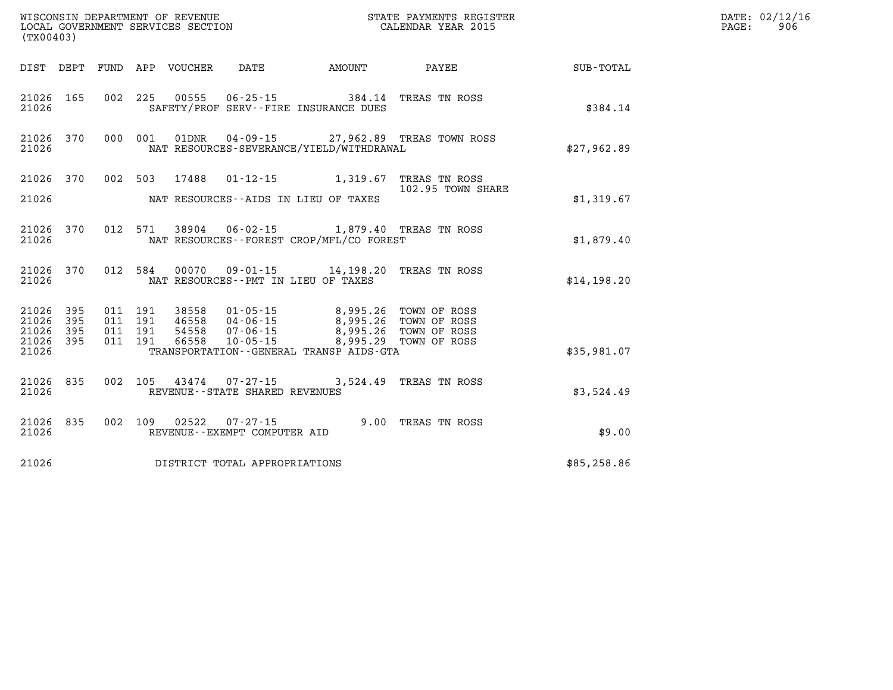| (TX00403) |                        |         |  |                                |                                                                                                                                                         |                                                            |             | DATE: 02/12/16<br>906<br>$\mathtt{PAGE}$ : |
|-----------|------------------------|---------|--|--------------------------------|---------------------------------------------------------------------------------------------------------------------------------------------------------|------------------------------------------------------------|-------------|--------------------------------------------|
|           |                        |         |  |                                |                                                                                                                                                         | DIST DEPT FUND APP VOUCHER DATE AMOUNT PAYEE SUB-TOTAL     |             |                                            |
| 21026     | 21026 165              |         |  |                                | 002 225 00555 06-25-15 384.14 TREAS TN ROSS<br>SAFETY/PROF SERV--FIRE INSURANCE DUES                                                                    |                                                            | \$384.14    |                                            |
| 21026     |                        |         |  |                                | NAT RESOURCES-SEVERANCE/YIELD/WITHDRAWAL                                                                                                                | 21026 370 000 001 01DNR 04-09-15 27,962.89 TREAS TOWN ROSS | \$27,962.89 |                                            |
|           |                        |         |  |                                | 21026 370 002 503 17488 01-12-15 1,319.67 TREAS TN ROSS                                                                                                 | 102.95 TOWN SHARE                                          |             |                                            |
|           |                        |         |  |                                | 21026 MAT RESOURCES--AIDS IN LIEU OF TAXES                                                                                                              |                                                            | \$1,319.67  |                                            |
| 21026     | 21026 370              |         |  |                                | 012 571 38904 06-02-15 1,879.40 TREAS TN ROSS<br>NAT RESOURCES - - FOREST CROP/MFL/CO FOREST                                                            |                                                            | \$1,879.40  |                                            |
| 21026     |                        |         |  |                                | 21026 370 012 584 00070 09-01-15 14,198.20 TREAS TN ROSS<br>NAT RESOURCES--PMT IN LIEU OF TAXES                                                         |                                                            | \$14,198.20 |                                            |
| 21026     | 21026 395<br>395       | 011 191 |  |                                | 38558  01-05-15  8,995.26  TOWN OF ROSS                                                                                                                 |                                                            |             |                                            |
|           | 21026 395<br>21026 395 |         |  |                                | 011 191 46558 04-06-15<br>011 191 54558 04-06-15<br>011 191 54558 07-06-15<br>011 191 66558 10-05-15<br>011 191 66558 10-05-15<br>8,995.29 TOWN OF ROSS |                                                            |             |                                            |
| 21026     |                        |         |  |                                | TRANSPORTATION--GENERAL TRANSP AIDS-GTA                                                                                                                 |                                                            | \$35,981.07 |                                            |
| 21026     | 21026 835              |         |  | REVENUE--STATE SHARED REVENUES | 002 105 43474 07-27-15 3,524.49 TREAS TN ROSS                                                                                                           |                                                            | \$3,524.49  |                                            |
| 21026     | 21026 835              |         |  | REVENUE--EXEMPT COMPUTER AID   | 002 109 02522 07-27-15 9.00 TREAS TN ROSS                                                                                                               |                                                            | \$9.00      |                                            |
| 21026     |                        |         |  | DISTRICT TOTAL APPROPRIATIONS  |                                                                                                                                                         |                                                            | \$85,258.86 |                                            |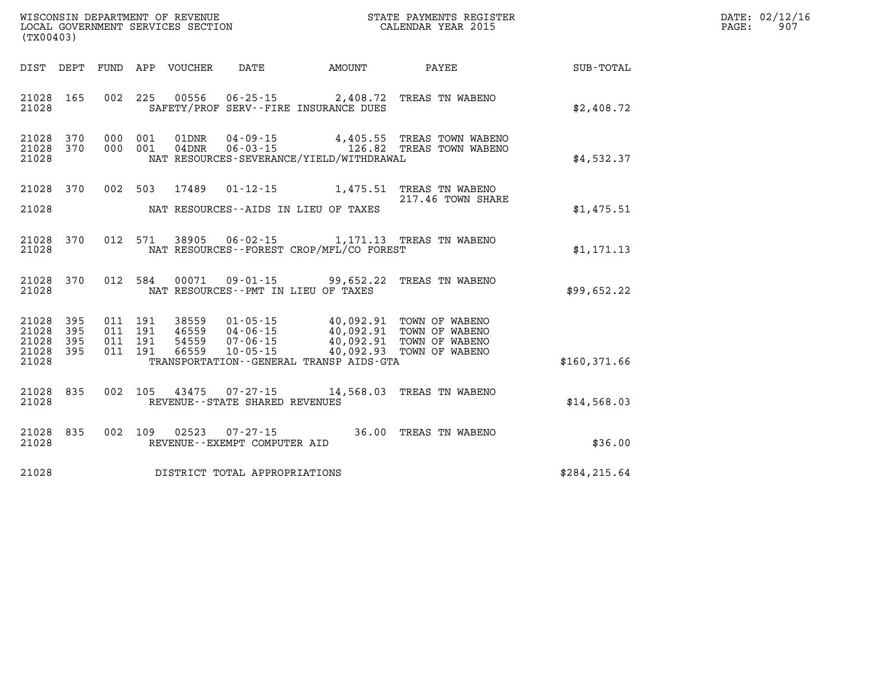| WISCONSIN DEPARTMENT OF REVENUE   | PAYMENTS REGISTER<br>3TATE | DATE: | 02/12/16 |
|-----------------------------------|----------------------------|-------|----------|
| LOCAL GOVERNMENT SERVICES SECTION | CALENDAR YEAR 2015         | PAGE  | 907      |

| (TX00403)                                                 | LOCAL GOVERNMENT SERVICES SECTION                                                                                                                                                                                                                                                                                                                                                    | CALENDAR YEAR 2015                                     | 907<br>PAGE: |
|-----------------------------------------------------------|--------------------------------------------------------------------------------------------------------------------------------------------------------------------------------------------------------------------------------------------------------------------------------------------------------------------------------------------------------------------------------------|--------------------------------------------------------|--------------|
|                                                           |                                                                                                                                                                                                                                                                                                                                                                                      | DIST DEPT FUND APP VOUCHER DATE AMOUNT PAYEE SUB-TOTAL |              |
| 21028 165<br>21028                                        | 002 225 00556 06-25-15 2,408.72 TREAS TN WABENO<br>SAFETY/PROF SERV--FIRE INSURANCE DUES                                                                                                                                                                                                                                                                                             | \$2,408.72                                             |              |
| 21028 370<br>21028 370<br>21028                           | $\begin{array}{cccccc} 01\text{DNR} & 04\text{ - }09\text{ - }15 & 4\text{ , }405\text{ .}55 & \text{TREAS} & \text{TOWN} & \text{WABENO} \\ 04\text{DNR} & 06\text{ - }03\text{ - }15 & 126\text{ .}82 & \text{TREAS} & \text{TOWN} & \text{WABENO} \end{array}$<br>000 001<br>000 001<br>NAT RESOURCES-SEVERANCE/YIELD/WITHDRAWAL                                                  | \$4,532.37                                             |              |
| 21028                                                     | 21028 370 002 503 17489 01-12-15 1,475.51 TREAS TN WABENO<br>NAT RESOURCES--AIDS IN LIEU OF TAXES                                                                                                                                                                                                                                                                                    | 217.46 TOWN SHARE<br>\$1,475.51                        |              |
| 21028 370<br>21028                                        | 012 571 38905 06-02-15 1,171.13 TREAS TN WABENO<br>NAT RESOURCES--FOREST CROP/MFL/CO FOREST                                                                                                                                                                                                                                                                                          | \$1,171.13                                             |              |
| 21028 370<br>21028                                        | 012 584 00071 09-01-15 99,652.22 TREAS TN WABENO<br>NAT RESOURCES--PMT IN LIEU OF TAXES                                                                                                                                                                                                                                                                                              | \$99,652.22                                            |              |
| 21028 395<br>21028 395<br>21028 395<br>21028 395<br>21028 | $\begin{array}{cccccc} 011 & 191 & 38559 & 01\cdot 05\cdot 15 & 40\,, 092\,.91 & \textrm{TOWN OF WABENO} \\ 011 & 191 & 46559 & 04\cdot 06\cdot 15 & 40\,, 092\,.91 & \textrm{TOWN OF WABENO} \\ 011 & 191 & 54559 & 07\cdot 06\cdot 15 & 40\,, 092\,.91 & \textrm{TOWN OF WABENO} \\ 011 & 191 & 66559 & 10\cdot 05\cdot 15 & 40\,, 092$<br>TRANSPORTATION--GENERAL TRANSP AIDS-GTA | \$160.371.66                                           |              |
| 21028 835<br>21028                                        | 002 105 43475 07-27-15 14,568.03 TREAS TN WABENO<br>REVENUE--STATE SHARED REVENUES                                                                                                                                                                                                                                                                                                   | \$14,568.03                                            |              |
| 21028 835<br>21028                                        | 002 109 02523 07-27-15 36.00 TREAS TN WABENO<br>REVENUE--EXEMPT COMPUTER AID                                                                                                                                                                                                                                                                                                         | \$36.00                                                |              |
|                                                           | 21028 DISTRICT TOTAL APPROPRIATIONS                                                                                                                                                                                                                                                                                                                                                  | \$284, 215.64                                          |              |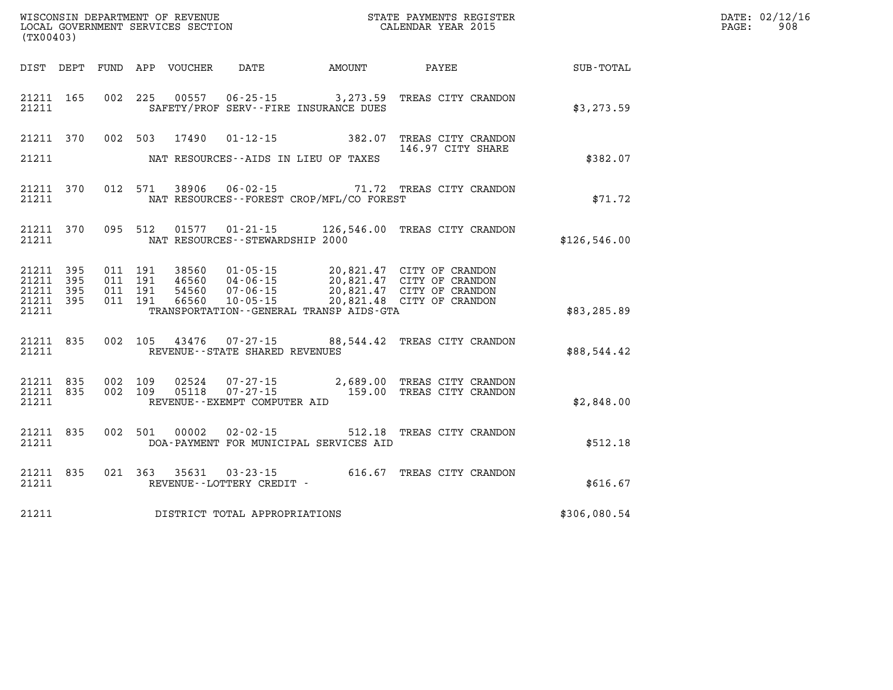| WISCONSIN DEPARTMENT OF REVENUE   | STATE PAYMENTS REGISTER | DATE: | : 02/12/16 |
|-----------------------------------|-------------------------|-------|------------|
| LOCAL GOVERNMENT SERVICES SECTION | CALENDAR YEAR 2015      | PAGE: | 908        |

| PAGE: | 908 |
|-------|-----|
|       |     |
|       |     |
|       |     |
|       |     |
|       |     |
|       |     |
|       |     |
|       |     |
|       |     |
|       |     |
|       |     |
|       |     |